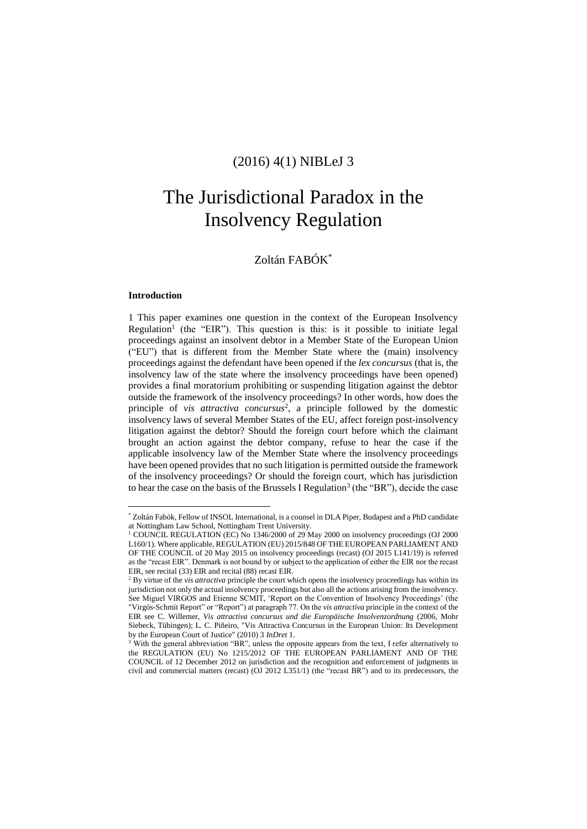# (2016) 4(1) NIBLeJ 3

# The Jurisdictional Paradox in the Insolvency Regulation

# Zoltán FABÓK\*

#### **Introduction**

 $\overline{a}$ 

1 This paper examines one question in the context of the European Insolvency Regulation<sup>1</sup> (the "EIR"). This question is this: is it possible to initiate legal proceedings against an insolvent debtor in a Member State of the European Union ("EU") that is different from the Member State where the (main) insolvency proceedings against the defendant have been opened if the *lex concursus* (that is, the insolvency law of the state where the insolvency proceedings have been opened) provides a final moratorium prohibiting or suspending litigation against the debtor outside the framework of the insolvency proceedings? In other words, how does the principle of *vis attractiva concursus*<sup>2</sup> , a principle followed by the domestic insolvency laws of several Member States of the EU, affect foreign post-insolvency litigation against the debtor? Should the foreign court before which the claimant brought an action against the debtor company, refuse to hear the case if the applicable insolvency law of the Member State where the insolvency proceedings have been opened provides that no such litigation is permitted outside the framework of the insolvency proceedings? Or should the foreign court, which has jurisdiction to hear the case on the basis of the Brussels I Regulation<sup>3</sup> (the "BR"), decide the case

<sup>\*</sup> Zoltán Fabók, Fellow of INSOL International, is a counsel in DLA Piper, Budapest and a PhD candidate at Nottingham Law School, Nottingham Trent University.

<sup>&</sup>lt;sup>1</sup> COUNCIL REGULATION (EC) No 1346/2000 of 29 May 2000 on insolvency proceedings (OJ 2000 L160/1). Where applicable, REGULATION (EU) 2015/848 OF THE EUROPEAN PARLIAMENT AND OF THE COUNCIL of 20 May 2015 on insolvency proceedings (recast) (OJ 2015 L141/19) is referred as the "recast EIR". Denmark is not bound by or subject to the application of either the EIR nor the recast EIR, see recital (33) EIR and recital (88) recast EIR.

<sup>2</sup> By virtue of the *vis attractiva* principle the court which opens the insolvency proceedings has within its jurisdiction not only the actual insolvency proceedings but also all the actions arising from the insolvency. See Miguel VIRGOS and Etienne SCMIT, 'Report on the Convention of Insolvency Proceedings' (the "Virgós-Schmit Report" or "Report") at paragraph 77. On the *vis attractiva* principle in the context of the EIR see C. Willemer, *Vis attractiva concursus und die Europäische Insolvenzordnung* (2006, Mohr Siebeck, Tübingen); L. C. Piñeiro, "Vis Attractiva Concursus in the European Union: Its Development by the European Court of Justice" (2010) 3 *InDret* 1.

<sup>&</sup>lt;sup>3</sup> With the general abbreviation "BR", unless the opposite appears from the text, I refer alternatively to the REGULATION (EU) No 1215/2012 OF THE EUROPEAN PARLIAMENT AND OF THE COUNCIL of 12 December 2012 on jurisdiction and the recognition and enforcement of judgments in civil and commercial matters (recast) (OJ 2012 L351/1) (the "recast BR") and to its predecessors, the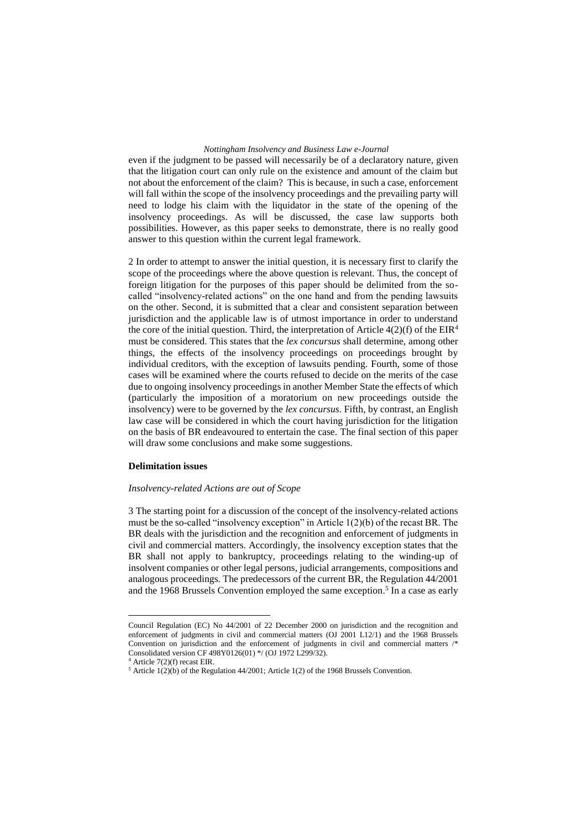even if the judgment to be passed will necessarily be of a declaratory nature, given that the litigation court can only rule on the existence and amount of the claim but not about the enforcement of the claim? This is because, in such a case, enforcement will fall within the scope of the insolvency proceedings and the prevailing party will need to lodge his claim with the liquidator in the state of the opening of the insolvency proceedings. As will be discussed, the case law supports both possibilities. However, as this paper seeks to demonstrate, there is no really good answer to this question within the current legal framework.

2 In order to attempt to answer the initial question, it is necessary first to clarify the scope of the proceedings where the above question is relevant. Thus, the concept of foreign litigation for the purposes of this paper should be delimited from the socalled "insolvency-related actions" on the one hand and from the pending lawsuits on the other. Second, it is submitted that a clear and consistent separation between jurisdiction and the applicable law is of utmost importance in order to understand the core of the initial question. Third, the interpretation of Article  $4(2)(f)$  of the EIR<sup>4</sup> must be considered. This states that the *lex concursus* shall determine, among other things, the effects of the insolvency proceedings on proceedings brought by individual creditors, with the exception of lawsuits pending. Fourth, some of those cases will be examined where the courts refused to decide on the merits of the case due to ongoing insolvency proceedings in another Member State the effects of which (particularly the imposition of a moratorium on new proceedings outside the insolvency) were to be governed by the *lex concursus*. Fifth, by contrast, an English law case will be considered in which the court having jurisdiction for the litigation on the basis of BR endeavoured to entertain the case. The final section of this paper will draw some conclusions and make some suggestions.

#### **Delimitation issues**

#### *Insolvency-related Actions are out of Scope*

3 The starting point for a discussion of the concept of the insolvency-related actions must be the so-called "insolvency exception" in Article 1(2)(b) of the recast BR. The BR deals with the jurisdiction and the recognition and enforcement of judgments in civil and commercial matters. Accordingly, the insolvency exception states that the BR shall not apply to bankruptcy, proceedings relating to the winding-up of insolvent companies or other legal persons, judicial arrangements, compositions and analogous proceedings. The predecessors of the current BR, the Regulation 44/2001 and the 1968 Brussels Convention employed the same exception. 5 In a case as early

Council Regulation (EC) No 44/2001 of 22 December 2000 on jurisdiction and the recognition and enforcement of judgments in civil and commercial matters (OJ 2001 L12/1) and the 1968 Brussels Convention on jurisdiction and the enforcement of judgments in civil and commercial matters /\* Consolidated version CF 498Y0126(01) \*/ (OJ 1972 L299/32).

 $4$  Article 7(2)(f) recast EIR.

<sup>5</sup> Article 1(2)(b) of the Regulation 44/2001; Article 1(2) of the 1968 Brussels Convention.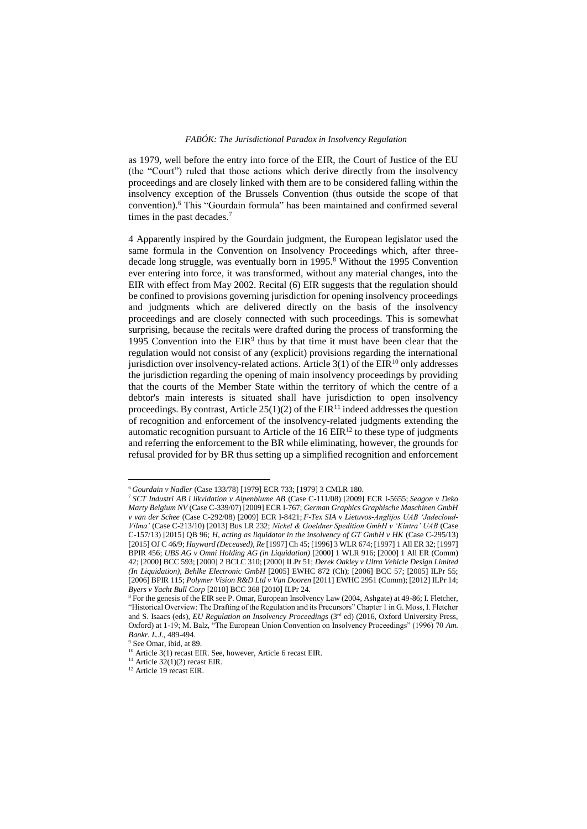as 1979, well before the entry into force of the EIR, the Court of Justice of the EU (the "Court") ruled that those actions which derive directly from the insolvency proceedings and are closely linked with them are to be considered falling within the insolvency exception of the Brussels Convention (thus outside the scope of that convention).<sup>6</sup> This "Gourdain formula" has been maintained and confirmed several times in the past decades.<sup>7</sup>

4 Apparently inspired by the Gourdain judgment, the European legislator used the same formula in the Convention on Insolvency Proceedings which, after threedecade long struggle, was eventually born in 1995.<sup>8</sup> Without the 1995 Convention ever entering into force, it was transformed, without any material changes, into the EIR with effect from May 2002. Recital (6) EIR suggests that the regulation should be confined to provisions governing jurisdiction for opening insolvency proceedings and judgments which are delivered directly on the basis of the insolvency proceedings and are closely connected with such proceedings. This is somewhat surprising, because the recitals were drafted during the process of transforming the 1995 Convention into the  $EIR<sup>9</sup>$  thus by that time it must have been clear that the regulation would not consist of any (explicit) provisions regarding the international jurisdiction over insolvency-related actions. Article  $3(1)$  of the EIR<sup>10</sup> only addresses the jurisdiction regarding the opening of main insolvency proceedings by providing that the courts of the Member State within the territory of which the centre of a debtor's main interests is situated shall have jurisdiction to open insolvency proceedings. By contrast, Article  $25(1)(2)$  of the EIR<sup>11</sup> indeed addresses the question of recognition and enforcement of the insolvency-related judgments extending the automatic recognition pursuant to Article of the  $16 EIR<sup>12</sup>$  to these type of judgments and referring the enforcement to the BR while eliminating, however, the grounds for refusal provided for by BR thus setting up a simplified recognition and enforcement

<sup>6</sup> *Gourdain v Nadler* (Case 133/78) [1979] ECR 733; [1979] 3 CMLR 180.

<sup>7</sup> *SCT Industri AB i likvidation v Alpenblume AB* (Case C-111/08) [2009] ECR I-5655; *Seagon v Deko Marty Belgium NV* (Case C-339/07) [2009] ECR I-767; *German Graphics Graphische Maschinen GmbH v van der Schee* (Case C-292/08) [2009] ECR I-8421; *F-Tex SIA v Lietuvos-Anglijos UAB 'Jadecloud-Vilma'* (Case C-213/10) [2013] Bus LR 232; *Nickel & Goeldner Spedition GmbH v 'Kintra' UAB* (Case C-157/13) [2015] QB 96; *H, acting as liquidator in the insolvency of GT GmbH v HK* (Case C-295/13) [2015] OJ C 46/9; *Hayward (Deceased), Re* [1997] Ch 45; [1996] 3 WLR 674; [1997] 1 All ER 32; [1997] BPIR 456; *UBS AG v Omni Holding AG (in Liquidation)* [2000] 1 WLR 916; [2000] 1 All ER (Comm) 42; [2000] BCC 593; [2000] 2 BCLC 310; [2000] ILPr 51; *Derek Oakley v Ultra Vehicle Design Limited (In Liquidation), Behlke Electronic GmbH* [2005] EWHC 872 (Ch); [2006] BCC 57; [2005] ILPr 55; [2006] BPIR 115; *Polymer Vision R&D Ltd v Van Dooren* [2011] EWHC 2951 (Comm); [2012] ILPr 14; *Byers v Yacht Bull Corp* [2010] BCC 368 [2010] ILPr 24.

<sup>&</sup>lt;sup>8</sup> For the genesis of the EIR see P. Omar, European Insolvency Law (2004, Ashgate) at 49-86; I. Fletcher, "Historical Overview: The Drafting of the Regulation and its Precursors" Chapter 1 in G. Moss, I. Fletcher and S. Isaacs (eds), *EU Regulation on Insolvency Proceedings* (3<sup>rd</sup> ed) (2016, Oxford University Press, Oxford) at 1-19; M. Balz, "The European Union Convention on Insolvency Proceedings" (1996) 70 *Am. Bankr. L.J.,* 489-494.

<sup>9</sup> See Omar, ibid, at 89.

<sup>&</sup>lt;sup>10</sup> Article 3(1) recast EIR. See, however, Article 6 recast EIR.

<sup>&</sup>lt;sup>11</sup> Article  $32(1)(2)$  recast EIR.

<sup>&</sup>lt;sup>12</sup> Article 19 recast EIR.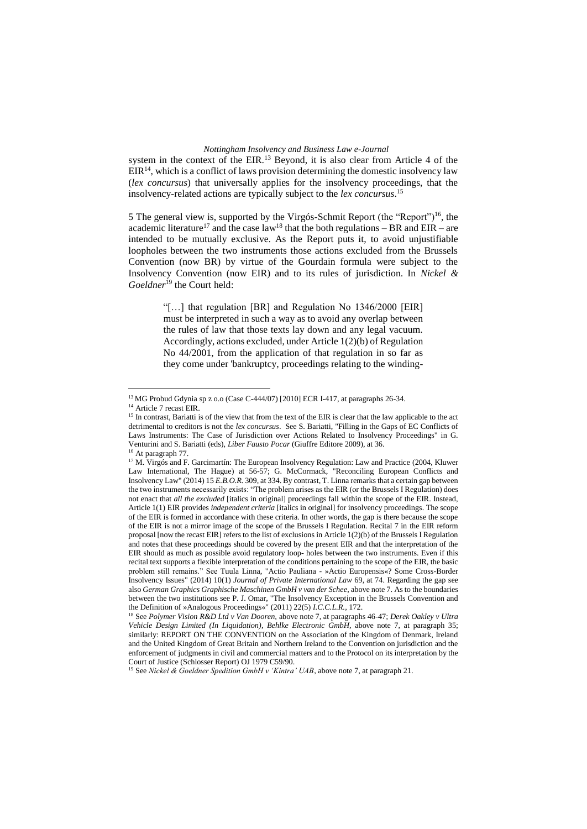system in the context of the EIR.<sup>13</sup> Beyond, it is also clear from Article 4 of the  $EIR<sup>14</sup>$ , which is a conflict of laws provision determining the domestic insolvency law (*lex concursus*) that universally applies for the insolvency proceedings, that the insolvency-related actions are typically subject to the *lex concursus*. 15

5 The general view is, supported by the Virgós-Schmit Report (the "Report")<sup>16</sup>, the academic literature<sup>17</sup> and the case law<sup>18</sup> that the both regulations – BR and EIR – are intended to be mutually exclusive. As the Report puts it, to avoid unjustifiable loopholes between the two instruments those actions excluded from the Brussels Convention (now BR) by virtue of the Gourdain formula were subject to the Insolvency Convention (now EIR) and to its rules of jurisdiction. In *Nickel & Goeldner*<sup>19</sup> the Court held:

> "[…] that regulation [BR] and Regulation No 1346/2000 [EIR] must be interpreted in such a way as to avoid any overlap between the rules of law that those texts lay down and any legal vacuum. Accordingly, actions excluded, under Article 1(2)(b) of Regulation No 44/2001, from the application of that regulation in so far as they come under 'bankruptcy, proceedings relating to the winding-

<sup>13</sup> MG Probud Gdynia sp z o.o (Case C-444/07) [2010] ECR I-417, at paragraphs 26-34.

<sup>&</sup>lt;sup>14</sup> Article 7 recast EIR.

<sup>&</sup>lt;sup>15</sup> In contrast, Bariatti is of the view that from the text of the EIR is clear that the law applicable to the act detrimental to creditors is not the *lex concursus*. See S. Bariatti, "Filling in the Gaps of EC Conflicts of Laws Instruments: The Case of Jurisdiction over Actions Related to Insolvency Proceedings" in G. Venturini and S. Bariatti (eds), *Liber Fausto Pocar* (Giuffre Editore 2009), at 36.

<sup>&</sup>lt;sup>16</sup> At paragraph 77.

<sup>&</sup>lt;sup>17</sup> M. Virgós and F. Garcimartín: The European Insolvency Regulation: Law and Practice (2004, Kluwer Law International, The Hague) at 56-57; G. McCormack, "Reconciling European Conflicts and Insolvency Law" (2014) 15 *E.B.O.R.* 309*,* at 334. By contrast, T. Linna remarks that a certain gap between the two instruments necessarily exists: "The problem arises as the EIR (or the Brussels I Regulation) does not enact that *all the excluded* [italics in original] proceedings fall within the scope of the EIR. Instead, Article 1(1) EIR provides *independent criteria* [italics in original] for insolvency proceedings. The scope of the EIR is formed in accordance with these criteria. In other words, the gap is there because the scope of the EIR is not a mirror image of the scope of the Brussels I Regulation. Recital 7 in the EIR reform proposal [now the recast EIR] refers to the list of exclusions in Article 1(2)(b) of the Brussels I Regulation and notes that these proceedings should be covered by the present EIR and that the interpretation of the EIR should as much as possible avoid regulatory loop- holes between the two instruments. Even if this recital text supports a flexible interpretation of the conditions pertaining to the scope of the EIR, the basic problem still remains." See Tuula Linna, "Actio Pauliana - »Actio Europensis«? Some Cross-Border Insolvency Issues" (2014) 10(1) *Journal of Private International Law* 69, at 74. Regarding the gap see also *German Graphics Graphische Maschinen GmbH v van der Schee*, above note 7. As to the boundaries between the two institutions see P. J. Omar, "The Insolvency Exception in the Brussels Convention and the Definition of »Analogous Proceedings«" (2011) 22(5) *I.C.C.L.R.*, 172.

<sup>18</sup> See *Polymer Vision R&D Ltd v Van Dooren,* above note 7, at paragraphs 46-47; *Derek Oakley v Ultra Vehicle Design Limited (In Liquidation)*, *Behlke Electronic GmbH,* above note 7, at paragraph 35; similarly: REPORT ON THE CONVENTION on the Association of the Kingdom of Denmark, Ireland and the United Kingdom of Great Britain and Northern Ireland to the Convention on jurisdiction and the enforcement of judgments in civil and commercial matters and to the Protocol on its interpretation by the Court of Justice (Schlosser Report) OJ 1979 C59/90.

<sup>19</sup> See *Nickel & Goeldner Spedition GmbH v 'Kintra' UAB*, above note 7, at paragraph 21.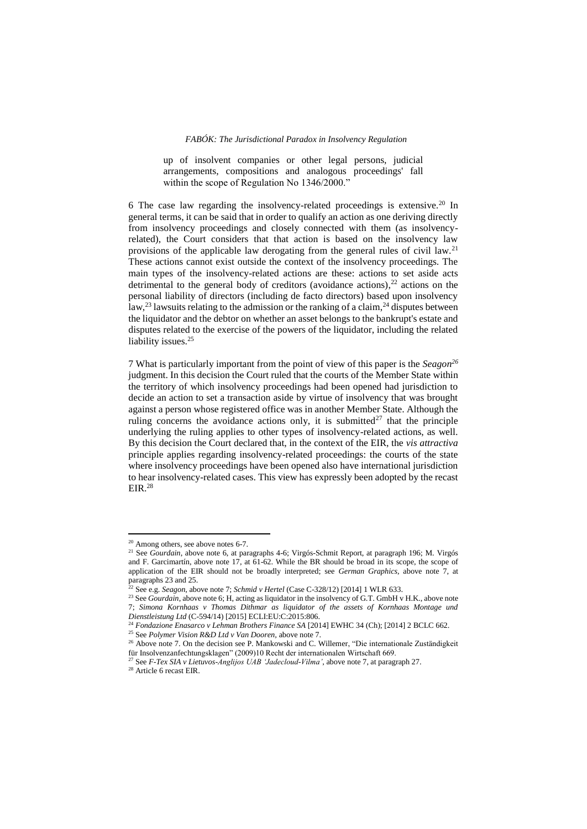up of insolvent companies or other legal persons, judicial arrangements, compositions and analogous proceedings' fall within the scope of Regulation No 1346/2000."

6 The case law regarding the insolvency-related proceedings is extensive.<sup>20</sup> In general terms, it can be said that in order to qualify an action as one deriving directly from insolvency proceedings and closely connected with them (as insolvencyrelated), the Court considers that that action is based on the insolvency law provisions of the applicable law derogating from the general rules of civil law.<sup>21</sup> These actions cannot exist outside the context of the insolvency proceedings. The main types of the insolvency-related actions are these: actions to set aside acts detrimental to the general body of creditors (avoidance actions), <sup>22</sup> actions on the personal liability of directors (including de facto directors) based upon insolvency law,<sup>23</sup> lawsuits relating to the admission or the ranking of a claim,<sup>24</sup> disputes between the liquidator and the debtor on whether an asset belongs to the bankrupt's estate and disputes related to the exercise of the powers of the liquidator, including the related liability issues.<sup>25</sup>

7 What is particularly important from the point of view of this paper is the *Seagon 26* judgment. In this decision the Court ruled that the courts of the Member State within the territory of which insolvency proceedings had been opened had jurisdiction to decide an action to set a transaction aside by virtue of insolvency that was brought against a person whose registered office was in another Member State. Although the ruling concerns the avoidance actions only, it is submitted<sup>27</sup> that the principle underlying the ruling applies to other types of insolvency-related actions, as well. By this decision the Court declared that, in the context of the EIR, the *vis attractiva* principle applies regarding insolvency-related proceedings: the courts of the state where insolvency proceedings have been opened also have international jurisdiction to hear insolvency-related cases. This view has expressly been adopted by the recast EIR.<sup>28</sup>

<sup>&</sup>lt;sup>20</sup> Among others, see above notes 6-7.

<sup>&</sup>lt;sup>21</sup> See *Gourdain*, above note 6, at paragraphs 4-6; Virgós-Schmit Report, at paragraph 196; M. Virgós and F. Garcimartín, above note 17, at 61-62. While the BR should be broad in its scope, the scope of application of the EIR should not be broadly interpreted; see *German Graphics*, above note 7, at paragraphs 23 and 25.

See e.g. *Seagon*, above note 7; *Schmid v Hertel* (Case C-328/12) [2014] 1 WLR 633.

<sup>&</sup>lt;sup>23</sup> See *Gourdain*, above note 6; H, acting as liquidator in the insolvency of G.T. GmbH v H.K., above note 7; *Simona Kornhaas v Thomas Dithmar as liquidator of the assets of Kornhaas Montage und Dienstleistung Ltd* (C-594/14) [2015] ECLI:EU:C:2015:806.

<sup>24</sup> *Fondazione Enasarco v Lehman Brothers Finance SA* [2014] EWHC 34 (Ch); [2014] 2 BCLC 662.

<sup>25</sup> See *Polymer Vision R&D Ltd v Van Dooren,* above note 7.

<sup>&</sup>lt;sup>26</sup> Above note 7. On the decision see P. Mankowski and C. Willemer, "Die internationale Zuständigkeit für Insolvenzanfechtungsklagen" (2009)10 Recht der internationalen Wirtschaft 669.

<sup>27</sup> See *F-Tex SIA v Lietuvos-Anglijos UAB 'Jadecloud-Vilma'*, above note 7, at paragraph 27.

<sup>28</sup> Article 6 recast EIR.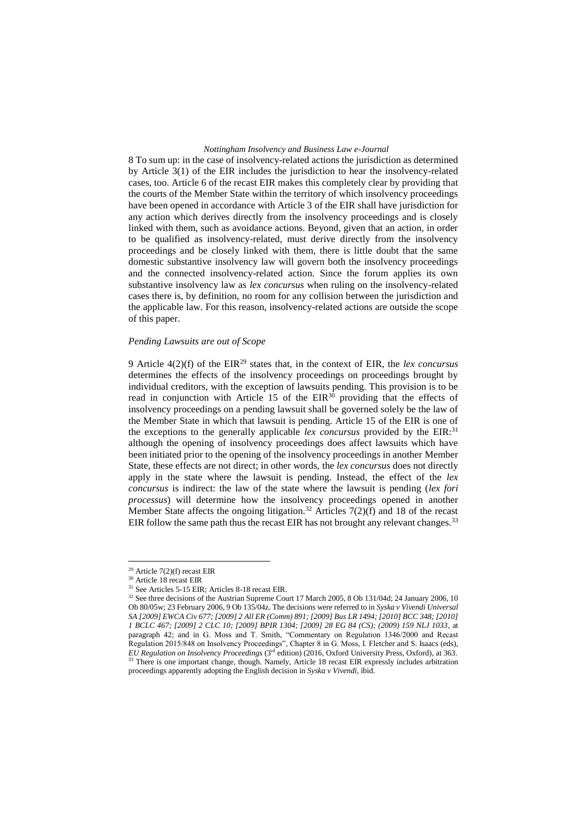8 To sum up: in the case of insolvency-related actions the jurisdiction as determined by Article 3(1) of the EIR includes the jurisdiction to hear the insolvency-related cases, too. Article 6 of the recast EIR makes this completely clear by providing that the courts of the Member State within the territory of which insolvency proceedings have been opened in accordance with Article 3 of the EIR shall have jurisdiction for any action which derives directly from the insolvency proceedings and is closely linked with them, such as avoidance actions. Beyond, given that an action, in order to be qualified as insolvency-related, must derive directly from the insolvency proceedings and be closely linked with them, there is little doubt that the same domestic substantive insolvency law will govern both the insolvency proceedings and the connected insolvency-related action. Since the forum applies its own substantive insolvency law as *lex concursus* when ruling on the insolvency-related cases there is, by definition, no room for any collision between the jurisdiction and the applicable law. For this reason, insolvency-related actions are outside the scope of this paper.

#### *Pending Lawsuits are out of Scope*

9 Article 4(2)(f) of the EIR<sup>29</sup> states that, in the context of EIR, the *lex concursus* determines the effects of the insolvency proceedings on proceedings brought by individual creditors, with the exception of lawsuits pending. This provision is to be read in conjunction with Article 15 of the  $EIR^{30}$  providing that the effects of insolvency proceedings on a pending lawsuit shall be governed solely be the law of the Member State in which that lawsuit is pending. Article 15 of the EIR is one of the exceptions to the generally applicable *lex concursus* provided by the EIR: 31 although the opening of insolvency proceedings does affect lawsuits which have been initiated prior to the opening of the insolvency proceedings in another Member State, these effects are not direct; in other words, the *lex concursus* does not directly apply in the state where the lawsuit is pending. Instead, the effect of the *lex concursus* is indirect: the law of the state where the lawsuit is pending (*lex fori processus*) will determine how the insolvency proceedings opened in another Member State affects the ongoing litigation.<sup>32</sup> Articles  $7(2)(f)$  and 18 of the recast EIR follow the same path thus the recast EIR has not brought any relevant changes.<sup>33</sup>

 $29$  Article 7(2)(f) recast EIR

<sup>30</sup> Article 18 recast EIR

<sup>31</sup> See Articles 5-15 EIR; Articles 8-18 recast EIR.

<sup>&</sup>lt;sup>32</sup> See three decisions of the Austrian Supreme Court 17 March 2005, 8 Ob 131/04d; 24 January 2006, 10 Ob 80/05w; 23 February 2006, 9 Ob 135/04z. The decisions were referred to in *Syska v Vivendi Universal SA [2009] EWCA Civ 677; [2009] 2 All ER (Comm) 891; [2009] Bus LR 1494; [2010] BCC 348; [2010] 1 BCLC 467; [2009] 2 CLC 10; [2009] BPIR 1304; [2009] 28 EG 84 (CS); (2009) 159 NLJ 1033*, at paragraph 42; and in G. Moss and T. Smith, "Commentary on Regulation 1346/2000 and Recast Regulation 2015/848 on Insolvency Proceedings", Chapter 8 in G. Moss, I. Fletcher and S. Isaacs (eds), *EU Regulation on Insolvency Proceedings* (3rd edition) (2016, Oxford University Press, Oxford), at 363. <sup>33</sup> There is one important change, though. Namely, Article 18 recast EIR expressly includes arbitration proceedings apparently adopting the English decision in *Syska v Vivendi*, ibid.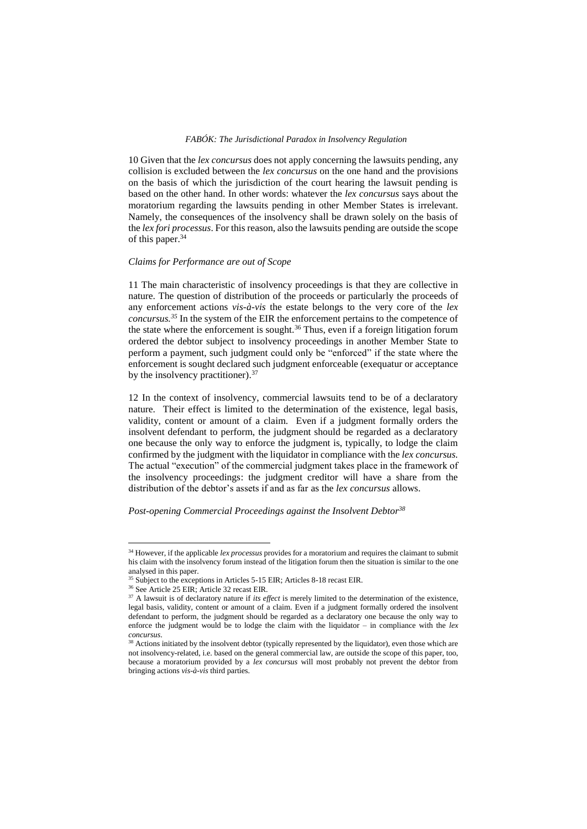10 Given that the *lex concursus* does not apply concerning the lawsuits pending, any collision is excluded between the *lex concursus* on the one hand and the provisions on the basis of which the jurisdiction of the court hearing the lawsuit pending is based on the other hand. In other words: whatever the *lex concursus* says about the moratorium regarding the lawsuits pending in other Member States is irrelevant. Namely, the consequences of the insolvency shall be drawn solely on the basis of the *lex fori processus*. For this reason, also the lawsuits pending are outside the scope of this paper.<sup>34</sup>

#### *Claims for Performance are out of Scope*

11 The main characteristic of insolvency proceedings is that they are collective in nature. The question of distribution of the proceeds or particularly the proceeds of any enforcement actions *vis-à-vis* the estate belongs to the very core of the *lex concursus.<sup>35</sup>* In the system of the EIR the enforcement pertains to the competence of the state where the enforcement is sought.<sup>36</sup> Thus, even if a foreign litigation forum ordered the debtor subject to insolvency proceedings in another Member State to perform a payment, such judgment could only be "enforced" if the state where the enforcement is sought declared such judgment enforceable (exequatur or acceptance by the insolvency practitioner).<sup>37</sup>

12 In the context of insolvency, commercial lawsuits tend to be of a declaratory nature. Their effect is limited to the determination of the existence, legal basis, validity, content or amount of a claim. Even if a judgment formally orders the insolvent defendant to perform, the judgment should be regarded as a declaratory one because the only way to enforce the judgment is, typically, to lodge the claim confirmed by the judgment with the liquidator in compliance with the *lex concursus.* The actual "execution" of the commercial judgment takes place in the framework of the insolvency proceedings: the judgment creditor will have a share from the distribution of the debtor's assets if and as far as the *lex concursus* allows.

# *Post-opening Commercial Proceedings against the Insolvent Debtor<sup>38</sup>*

<sup>&</sup>lt;sup>34</sup> However, if the applicable *lex processus* provides for a moratorium and requires the claimant to submit his claim with the insolvency forum instead of the litigation forum then the situation is similar to the one analysed in this paper.

<sup>&</sup>lt;sup>35</sup> Subject to the exceptions in Articles 5-15 EIR; Articles 8-18 recast EIR.

<sup>&</sup>lt;sup>36</sup> See Article 25 EIR; Article 32 recast EIR.

<sup>&</sup>lt;sup>37</sup> A lawsuit is of declaratory nature if *its effect* is merely limited to the determination of the existence, legal basis, validity, content or amount of a claim. Even if a judgment formally ordered the insolvent defendant to perform, the judgment should be regarded as a declaratory one because the only way to enforce the judgment would be to lodge the claim with the liquidator – in compliance with the *lex concursus*.

<sup>&</sup>lt;sup>38</sup> Actions initiated by the insolvent debtor (typically represented by the liquidator), even those which are not insolvency-related, i.e. based on the general commercial law, are outside the scope of this paper, too, because a moratorium provided by a *lex concursus* will most probably not prevent the debtor from bringing actions *vis-à-vis* third parties.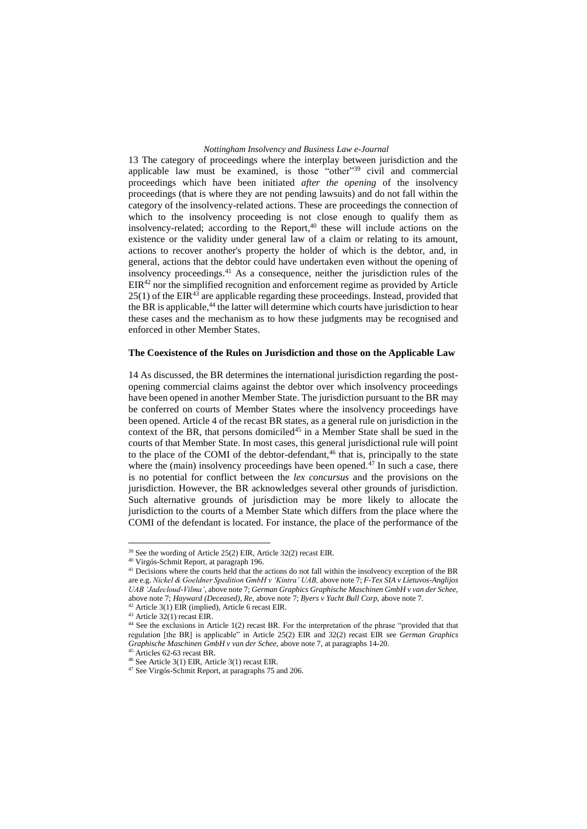13 The category of proceedings where the interplay between jurisdiction and the applicable law must be examined, is those "other"<sup>39</sup> civil and commercial proceedings which have been initiated *after the opening* of the insolvency proceedings (that is where they are not pending lawsuits) and do not fall within the category of the insolvency-related actions. These are proceedings the connection of which to the insolvency proceeding is not close enough to qualify them as insolvency-related; according to the Report, <sup>40</sup> these will include actions on the existence or the validity under general law of a claim or relating to its amount, actions to recover another's property the holder of which is the debtor, and, in general, actions that the debtor could have undertaken even without the opening of insolvency proceedings.<sup>41</sup> As a consequence, neither the jurisdiction rules of the  $EIR<sup>42</sup>$  nor the simplified recognition and enforcement regime as provided by Article  $25(1)$  of the EIR<sup>43</sup> are applicable regarding these proceedings. Instead, provided that the BR is applicable,<sup>44</sup> the latter will determine which courts have jurisdiction to hear these cases and the mechanism as to how these judgments may be recognised and enforced in other Member States.

#### **The Coexistence of the Rules on Jurisdiction and those on the Applicable Law**

14 As discussed, the BR determines the international jurisdiction regarding the postopening commercial claims against the debtor over which insolvency proceedings have been opened in another Member State. The jurisdiction pursuant to the BR may be conferred on courts of Member States where the insolvency proceedings have been opened. Article 4 of the recast BR states, as a general rule on jurisdiction in the context of the BR, that persons domiciled<sup>45</sup> in a Member State shall be sued in the courts of that Member State. In most cases, this general jurisdictional rule will point to the place of the COMI of the debtor-defendant,<sup>46</sup> that is, principally to the state where the (main) insolvency proceedings have been opened. $47$  In such a case, there is no potential for conflict between the *lex concursus* and the provisions on the jurisdiction. However, the BR acknowledges several other grounds of jurisdiction. Such alternative grounds of jurisdiction may be more likely to allocate the jurisdiction to the courts of a Member State which differs from the place where the COMI of the defendant is located. For instance, the place of the performance of the

<sup>39</sup> See the wording of Article 25(2) EIR, Article 32(2) recast EIR.

<sup>40</sup> Virgós-Schmit Report, at paragraph 196.

<sup>&</sup>lt;sup>41</sup> Decisions where the courts held that the actions do not fall within the insolvency exception of the BR are e.g. *Nickel & Goeldner Spedition GmbH v 'Kintra' UAB,* above note 7; *F-Tex SIA v Lietuvos-Anglijos UAB 'Jadecloud-Vilma'*, above note 7; *German Graphics Graphische Maschinen GmbH v van der Schee,*  above note 7; *Hayward (Deceased), Re,* above note 7; *Byers v Yacht Bull Corp,* above note 7.

<sup>42</sup> Article 3(1) EIR (implied), Article 6 recast EIR.

<sup>43</sup> Article 32(1) recast EIR.

<sup>44</sup> See the exclusions in Article 1(2) recast BR. For the interpretation of the phrase "provided that that regulation [the BR] is applicable" in Article 25(2) EIR and 32(2) recast EIR see *German Graphics Graphische Maschinen GmbH v van der Schee,* above note 7, at paragraphs 14-20.

Articles 62-63 recast BR.

 $46$  See Article 3(1) EIR, Article 3(1) recast EIR.

<sup>47</sup> See Virgós-Schmit Report, at paragraphs 75 and 206.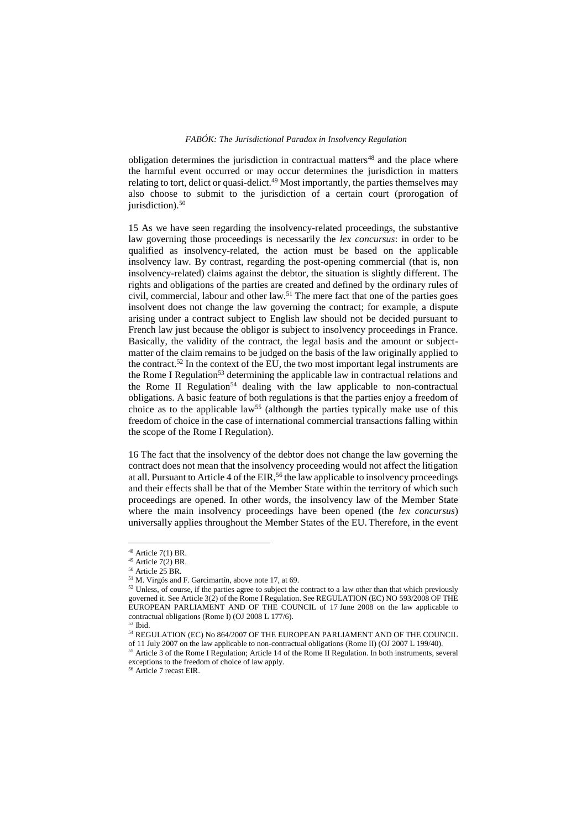obligation determines the jurisdiction in contractual matters $48$  and the place where the harmful event occurred or may occur determines the jurisdiction in matters relating to tort, delict or quasi-delict.<sup>49</sup> Most importantly, the parties themselves may also choose to submit to the jurisdiction of a certain court (prorogation of jurisdiction).<sup>50</sup>

15 As we have seen regarding the insolvency-related proceedings, the substantive law governing those proceedings is necessarily the *lex concursus*: in order to be qualified as insolvency-related, the action must be based on the applicable insolvency law. By contrast, regarding the post-opening commercial (that is, non insolvency-related) claims against the debtor, the situation is slightly different. The rights and obligations of the parties are created and defined by the ordinary rules of civil, commercial, labour and other law. <sup>51</sup> The mere fact that one of the parties goes insolvent does not change the law governing the contract; for example, a dispute arising under a contract subject to English law should not be decided pursuant to French law just because the obligor is subject to insolvency proceedings in France. Basically, the validity of the contract, the legal basis and the amount or subjectmatter of the claim remains to be judged on the basis of the law originally applied to the contract.<sup>52</sup> In the context of the EU, the two most important legal instruments are the Rome I Regulation<sup>53</sup> determining the applicable law in contractual relations and the Rome II Regulation<sup>54</sup> dealing with the law applicable to non-contractual obligations. A basic feature of both regulations is that the parties enjoy a freedom of choice as to the applicable law<sup>55</sup> (although the parties typically make use of this freedom of choice in the case of international commercial transactions falling within the scope of the Rome I Regulation).

16 The fact that the insolvency of the debtor does not change the law governing the contract does not mean that the insolvency proceeding would not affect the litigation at all. Pursuant to Article 4 of the EIR,<sup>56</sup> the law applicable to insolvency proceedings and their effects shall be that of the Member State within the territory of which such proceedings are opened. In other words, the insolvency law of the Member State where the main insolvency proceedings have been opened (the *lex concursus*) universally applies throughout the Member States of the EU. Therefore, in the event

 $48$  Article 7(1) BR.

 $49$  Article 7(2) BR.

<sup>50</sup> Article 25 BR.

<sup>51</sup> M. Virgós and F. Garcimartín, above note 17, at 69.

<sup>&</sup>lt;sup>52</sup> Unless, of course, if the parties agree to subject the contract to a law other than that which previously governed it. See Article 3(2) of the Rome I Regulation. See REGULATION (EC) NO 593/2008 OF THE EUROPEAN PARLIAMENT AND OF THE COUNCIL of 17 June 2008 on the law applicable to contractual obligations (Rome I) (OJ 2008 L 177/6).

<sup>53</sup> Ibid.

<sup>54</sup> REGULATION (EC) No 864/2007 OF THE EUROPEAN PARLIAMENT AND OF THE COUNCIL of 11 July 2007 on the law applicable to non-contractual obligations (Rome II) (OJ 2007 L 199/40).

<sup>55</sup> Article 3 of the Rome I Regulation; Article 14 of the Rome II Regulation. In both instruments, several exceptions to the freedom of choice of law apply.

<sup>56</sup> Article 7 recast EIR.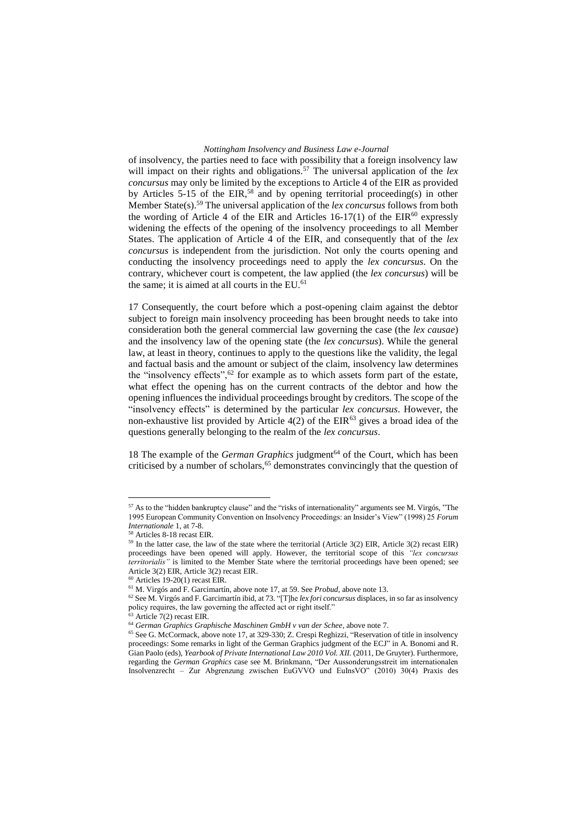of insolvency, the parties need to face with possibility that a foreign insolvency law will impact on their rights and obligations.<sup>57</sup> The universal application of the *lex concursus* may only be limited by the exceptions to Article 4 of the EIR as provided by Articles 5-15 of the EIR,<sup>58</sup> and by opening territorial proceeding(s) in other Member State(s).<sup>59</sup> The universal application of the *lex concursus* follows from both the wording of Article 4 of the EIR and Articles  $16-17(1)$  of the EIR<sup>60</sup> expressly widening the effects of the opening of the insolvency proceedings to all Member States. The application of Article 4 of the EIR, and consequently that of the *lex concursus* is independent from the jurisdiction. Not only the courts opening and conducting the insolvency proceedings need to apply the *lex concursus*. On the contrary, whichever court is competent, the law applied (the *lex concursus*) will be the same; it is aimed at all courts in the EU.<sup>61</sup>

17 Consequently, the court before which a post-opening claim against the debtor subject to foreign main insolvency proceeding has been brought needs to take into consideration both the general commercial law governing the case (the *lex causae*) and the insolvency law of the opening state (the *lex concursus*). While the general law, at least in theory, continues to apply to the questions like the validity, the legal and factual basis and the amount or subject of the claim, insolvency law determines the "insolvency effects", $62$  for example as to which assets form part of the estate, what effect the opening has on the current contracts of the debtor and how the opening influences the individual proceedings brought by creditors. The scope of the "insolvency effects" is determined by the particular *lex concursus*. However, the non-exhaustive list provided by Article  $4(2)$  of the EIR<sup>63</sup> gives a broad idea of the questions generally belonging to the realm of the *lex concursus*.

18 The example of the *German Graphics* judgment<sup>64</sup> of the Court, which has been criticised by a number of scholars,  $65$  demonstrates convincingly that the question of

 $57$  As to the "hidden bankruptcy clause" and the "risks of internationality" arguments see M. Virgós, "The 1995 European Community Convention on Insolvency Proceedings: an Insider's View" (1998) 25 *Forum Internationale* 1, at 7-8.

<sup>58</sup> Articles 8-18 recast EIR.

<sup>&</sup>lt;sup>59</sup> In the latter case, the law of the state where the territorial (Article 3(2) EIR, Article 3(2) recast EIR) proceedings have been opened will apply. However, the territorial scope of this *"lex concursus territorialis"* is limited to the Member State where the territorial proceedings have been opened; see Article 3(2) EIR, Article 3(2) recast EIR.

 $60$  Articles 19-20(1) recast EIR.

<sup>61</sup> M. Virgós and F. Garcimartín, above note 17, at 59. See *Probud*, above note 13.

<sup>62</sup> See M. Virgós and F. Garcimartín ibid, at 73. "[T]he *lex fori concursus* displaces, in so far as insolvency policy requires, the law governing the affected act or right itself."

<sup>63</sup> Article 7(2) recast EIR.

<sup>64</sup> *German Graphics Graphische Maschinen GmbH v van der Schee*, above note 7.

<sup>&</sup>lt;sup>65</sup> See G. McCormack, above note 17, at 329-330; Z. Crespi Reghizzi, "Reservation of title in insolvency proceedings: Some remarks in light of the German Graphics judgment of the ECJ" in A. Bonomi and R. Gian Paolo (eds), *Yearbook of Private International Law 2010 Vol. XII.* (2011, De Gruyter). Furthermore, regarding the *German Graphics* case see M. Brinkmann, "Der Aussonderungsstreit im internationalen Insolvenzrecht – Zur Abgrenzung zwischen EuGVVO und EuInsVO" (2010) 30(4) Praxis des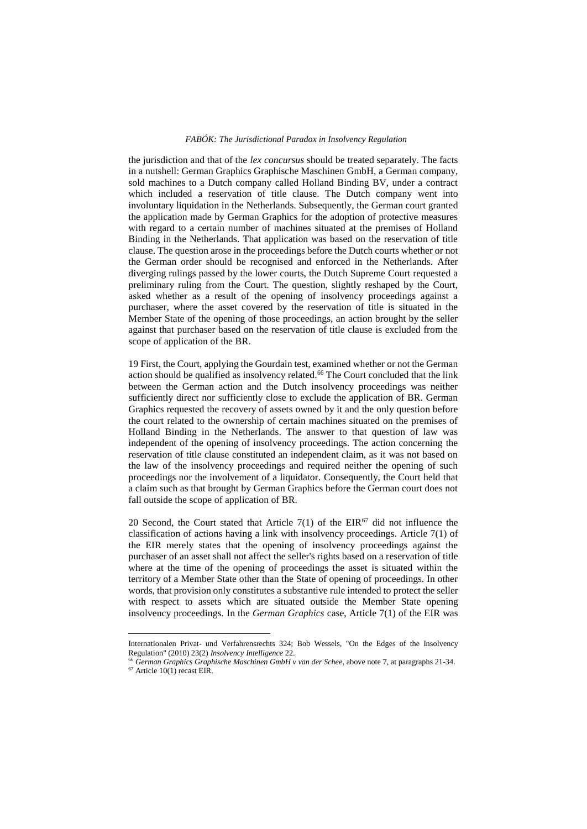the jurisdiction and that of the *lex concursus* should be treated separately. The facts in a nutshell: German Graphics Graphische Maschinen GmbH, a German company, sold machines to a Dutch company called Holland Binding BV, under a contract which included a reservation of title clause. The Dutch company went into involuntary liquidation in the Netherlands. Subsequently, the German court granted the application made by German Graphics for the adoption of protective measures with regard to a certain number of machines situated at the premises of Holland Binding in the Netherlands. That application was based on the reservation of title clause. The question arose in the proceedings before the Dutch courts whether or not the German order should be recognised and enforced in the Netherlands. After diverging rulings passed by the lower courts, the Dutch Supreme Court requested a preliminary ruling from the Court. The question, slightly reshaped by the Court, asked whether as a result of the opening of insolvency proceedings against a purchaser, where the asset covered by the reservation of title is situated in the Member State of the opening of those proceedings, an action brought by the seller against that purchaser based on the reservation of title clause is excluded from the scope of application of the BR.

19 First, the Court, applying the Gourdain test, examined whether or not the German action should be qualified as insolvency related.<sup>66</sup> The Court concluded that the link between the German action and the Dutch insolvency proceedings was neither sufficiently direct nor sufficiently close to exclude the application of BR. German Graphics requested the recovery of assets owned by it and the only question before the court related to the ownership of certain machines situated on the premises of Holland Binding in the Netherlands. The answer to that question of law was independent of the opening of insolvency proceedings. The action concerning the reservation of title clause constituted an independent claim, as it was not based on the law of the insolvency proceedings and required neither the opening of such proceedings nor the involvement of a liquidator. Consequently, the Court held that a claim such as that brought by German Graphics before the German court does not fall outside the scope of application of BR.

20 Second, the Court stated that Article 7(1) of the  $EIR^{67}$  did not influence the classification of actions having a link with insolvency proceedings. Article 7(1) of the EIR merely states that the opening of insolvency proceedings against the purchaser of an asset shall not affect the seller's rights based on a reservation of title where at the time of the opening of proceedings the asset is situated within the territory of a Member State other than the State of opening of proceedings. In other words, that provision only constitutes a substantive rule intended to protect the seller with respect to assets which are situated outside the Member State opening insolvency proceedings. In the *German Graphics* case, Article 7(1) of the EIR was

Internationalen Privat- und Verfahrensrechts 324; Bob Wessels, "On the Edges of the Insolvency Regulation" (2010) 23(2) *Insolvency Intelligence* 22.

<sup>66</sup> *German Graphics Graphische Maschinen GmbH v van der Schee*, above note 7, at paragraphs 21-34.

 $67$  Article 10(1) recast EIR.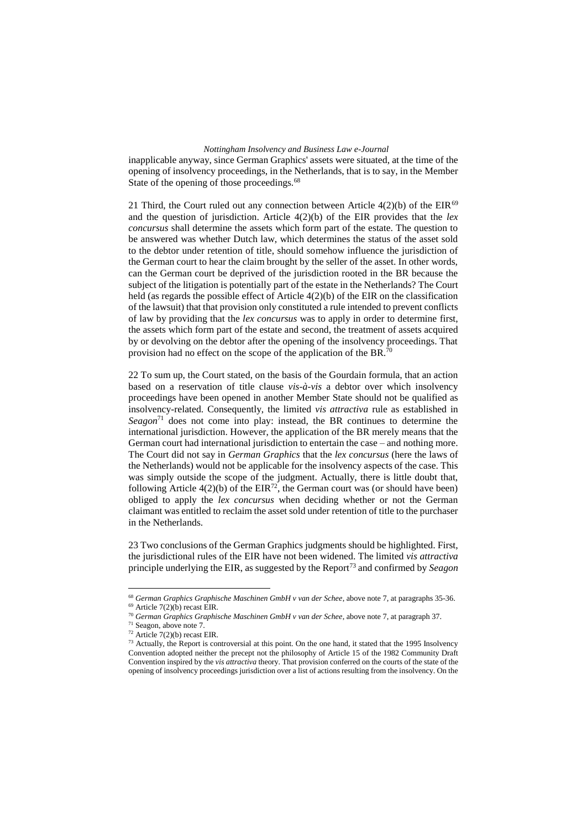inapplicable anyway, since German Graphics' assets were situated, at the time of the opening of insolvency proceedings, in the Netherlands, that is to say, in the Member State of the opening of those proceedings.<sup>68</sup>

21 Third, the Court ruled out any connection between Article  $4(2)(b)$  of the EIR<sup>69</sup> and the question of jurisdiction. Article 4(2)(b) of the EIR provides that the *lex concursus* shall determine the assets which form part of the estate. The question to be answered was whether Dutch law, which determines the status of the asset sold to the debtor under retention of title, should somehow influence the jurisdiction of the German court to hear the claim brought by the seller of the asset. In other words, can the German court be deprived of the jurisdiction rooted in the BR because the subject of the litigation is potentially part of the estate in the Netherlands? The Court held (as regards the possible effect of Article 4(2)(b) of the EIR on the classification of the lawsuit) that that provision only constituted a rule intended to prevent conflicts of law by providing that the *lex concursus* was to apply in order to determine first, the assets which form part of the estate and second, the treatment of assets acquired by or devolving on the debtor after the opening of the insolvency proceedings. That provision had no effect on the scope of the application of the BR.<sup>70</sup>

22 To sum up, the Court stated, on the basis of the Gourdain formula, that an action based on a reservation of title clause *vis-à-vis* a debtor over which insolvency proceedings have been opened in another Member State should not be qualified as insolvency-related. Consequently, the limited *vis attractiva* rule as established in *Seagon*<sup>71</sup> does not come into play: instead, the BR continues to determine the international jurisdiction. However, the application of the BR merely means that the German court had international jurisdiction to entertain the case – and nothing more. The Court did not say in *German Graphics* that the *lex concursus* (here the laws of the Netherlands) would not be applicable for the insolvency aspects of the case. This was simply outside the scope of the judgment. Actually, there is little doubt that, following Article  $4(2)(b)$  of the EIR<sup>72</sup>, the German court was (or should have been) obliged to apply the *lex concursus* when deciding whether or not the German claimant was entitled to reclaim the asset sold under retention of title to the purchaser in the Netherlands.

23 Two conclusions of the German Graphics judgments should be highlighted. First, the jurisdictional rules of the EIR have not been widened. The limited *vis attractiva* principle underlying the EIR, as suggested by the Report<sup>73</sup> and confirmed by *Seagon* 

<sup>68</sup> *German Graphics Graphische Maschinen GmbH v van der Schee*, above note 7, at paragraphs 35-36.  $69$  Article 7(2)(b) recast EIR.

<sup>70</sup> *German Graphics Graphische Maschinen GmbH v van der Schee*, above note 7, at paragraph 37.

<sup>71</sup> Seagon, above note 7.

 $72$  Article  $7(2)(b)$  recast EIR.

<sup>&</sup>lt;sup>73</sup> Actually, the Report is controversial at this point. On the one hand, it stated that the 1995 Insolvency Convention adopted neither the precept not the philosophy of Article 15 of the 1982 Community Draft Convention inspired by the *vis attractiva* theory. That provision conferred on the courts of the state of the opening of insolvency proceedings jurisdiction over a list of actions resulting from the insolvency. On the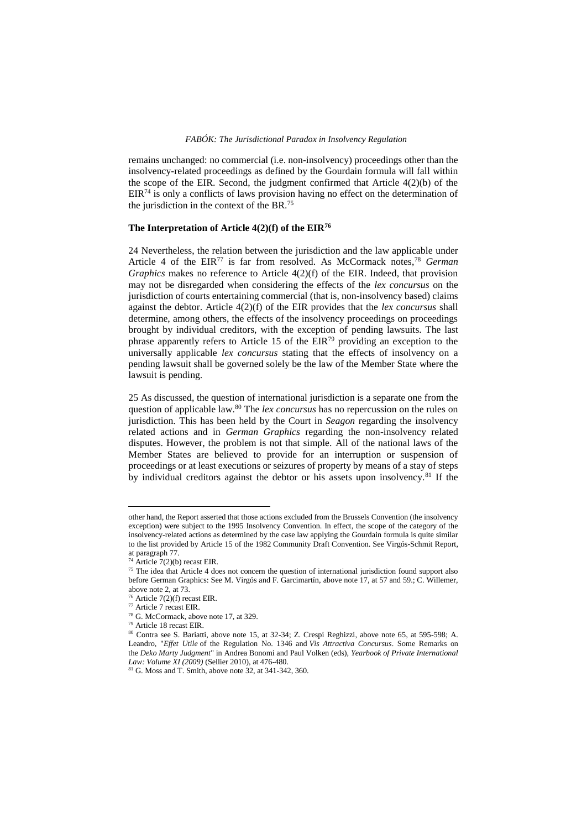remains unchanged: no commercial (i.e. non-insolvency) proceedings other than the insolvency-related proceedings as defined by the Gourdain formula will fall within the scope of the EIR. Second, the judgment confirmed that Article 4(2)(b) of the  $EIR<sup>74</sup>$  is only a conflicts of laws provision having no effect on the determination of the jurisdiction in the context of the BR.<sup>75</sup>

## **The Interpretation of Article 4(2)(f) of the EIR<sup>76</sup>**

24 Nevertheless, the relation between the jurisdiction and the law applicable under Article 4 of the EIR<sup>77</sup> is far from resolved. As McCormack notes, <sup>78</sup> *German Graphics* makes no reference to Article 4(2)(f) of the EIR. Indeed, that provision may not be disregarded when considering the effects of the *lex concursus* on the jurisdiction of courts entertaining commercial (that is, non-insolvency based) claims against the debtor. Article 4(2)(f) of the EIR provides that the *lex concursus* shall determine, among others, the effects of the insolvency proceedings on proceedings brought by individual creditors, with the exception of pending lawsuits. The last phrase apparently refers to Article 15 of the EIR<sup>79</sup> providing an exception to the universally applicable *lex concursus* stating that the effects of insolvency on a pending lawsuit shall be governed solely be the law of the Member State where the lawsuit is pending.

25 As discussed, the question of international jurisdiction is a separate one from the question of applicable law.<sup>80</sup> The *lex concursus* has no repercussion on the rules on jurisdiction. This has been held by the Court in *Seagon* regarding the insolvency related actions and in *German Graphics* regarding the non-insolvency related disputes. However, the problem is not that simple. All of the national laws of the Member States are believed to provide for an interruption or suspension of proceedings or at least executions or seizures of property by means of a stay of steps by individual creditors against the debtor or his assets upon insolvency.<sup>81</sup> If the

other hand, the Report asserted that those actions excluded from the Brussels Convention (the insolvency exception) were subject to the 1995 Insolvency Convention. In effect, the scope of the category of the insolvency-related actions as determined by the case law applying the Gourdain formula is quite similar to the list provided by Article 15 of the 1982 Community Draft Convention. See Virgós-Schmit Report, at paragraph 77.

Article 7(2)(b) recast EIR.

<sup>&</sup>lt;sup>75</sup> The idea that Article 4 does not concern the question of international jurisdiction found support also before German Graphics: See M. Virgós and F. Garcimartín, above note 17, at 57 and 59.; C. Willemer, above note 2, at 73.

 $7(2)(f)$  recast EIR.

 $77$  Article 7 recast EIR.

<sup>78</sup> G. McCormack, above note 17, at 329.

<sup>79</sup> Article 18 recast EIR.

<sup>80</sup> Contra see S. Bariatti, above note 15, at 32-34; Z. Crespi Reghizzi, above note 65, at 595-598; A. Leandro, "*Effet Utile* of the Regulation No. 1346 and *Vis Attractiva Concursus*. Some Remarks on the *Deko Marty Judgment*" in Andrea Bonomi and Paul Volken (eds), *Yearbook of Private International Law: Volume XI (2009)* (Sellier 2010), at 476-480.

<sup>81</sup> G. Moss and T. Smith, above note 32, at 341-342, 360.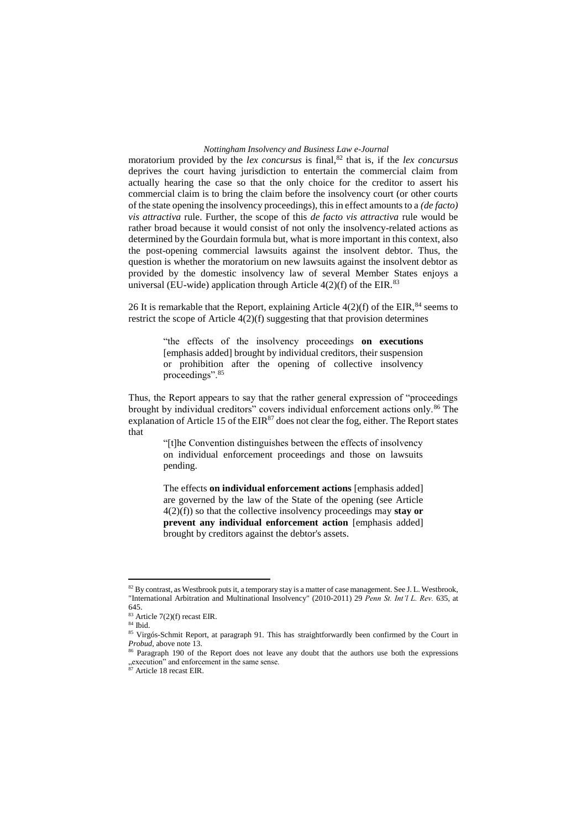moratorium provided by the *lex concursus* is final,<sup>82</sup> that is, if the *lex concursus* deprives the court having jurisdiction to entertain the commercial claim from actually hearing the case so that the only choice for the creditor to assert his commercial claim is to bring the claim before the insolvency court (or other courts of the state opening the insolvency proceedings), this in effect amounts to a *(de facto) vis attractiva* rule. Further, the scope of this *de facto vis attractiva* rule would be rather broad because it would consist of not only the insolvency-related actions as determined by the Gourdain formula but, what is more important in this context, also the post-opening commercial lawsuits against the insolvent debtor. Thus, the question is whether the moratorium on new lawsuits against the insolvent debtor as provided by the domestic insolvency law of several Member States enjoys a universal (EU-wide) application through Article  $4(2)(f)$  of the EIR.<sup>83</sup>

26 It is remarkable that the Report, explaining Article  $4(2)(f)$  of the EIR,<sup>84</sup> seems to restrict the scope of Article  $4(2)(f)$  suggesting that that provision determines

> "the effects of the insolvency proceedings **on executions** [emphasis added] brought by individual creditors, their suspension or prohibition after the opening of collective insolvency proceedings".<sup>85</sup>

Thus, the Report appears to say that the rather general expression of "proceedings brought by individual creditors" covers individual enforcement actions only.<sup>86</sup> The explanation of Article 15 of the  $EIR^{87}$  does not clear the fog, either. The Report states that

> "[t]he Convention distinguishes between the effects of insolvency on individual enforcement proceedings and those on lawsuits pending.

> The effects **on individual enforcement actions** [emphasis added] are governed by the law of the State of the opening (see Article 4(2)(f)) so that the collective insolvency proceedings may **stay or prevent any individual enforcement action** [emphasis added] brought by creditors against the debtor's assets.

<sup>&</sup>lt;sup>82</sup> By contrast, as Westbrook puts it, a temporary stay is a matter of case management. See J. L. Westbrook, "International Arbitration and Multinational Insolvency" (2010-2011) 29 *Penn St. Int'l L. Rev.* 635, at 645.

<sup>83</sup> Article 7(2)(f) recast EIR.

<sup>84</sup> Ibid.

<sup>&</sup>lt;sup>85</sup> Virgós-Schmit Report, at paragraph 91. This has straightforwardly been confirmed by the Court in *Probud*, above note 13.

<sup>&</sup>lt;sup>86</sup> Paragraph 190 of the Report does not leave any doubt that the authors use both the expressions  $\frac{1}{87}$  execution" and enforcement in the same sense.

Article 18 recast EIR.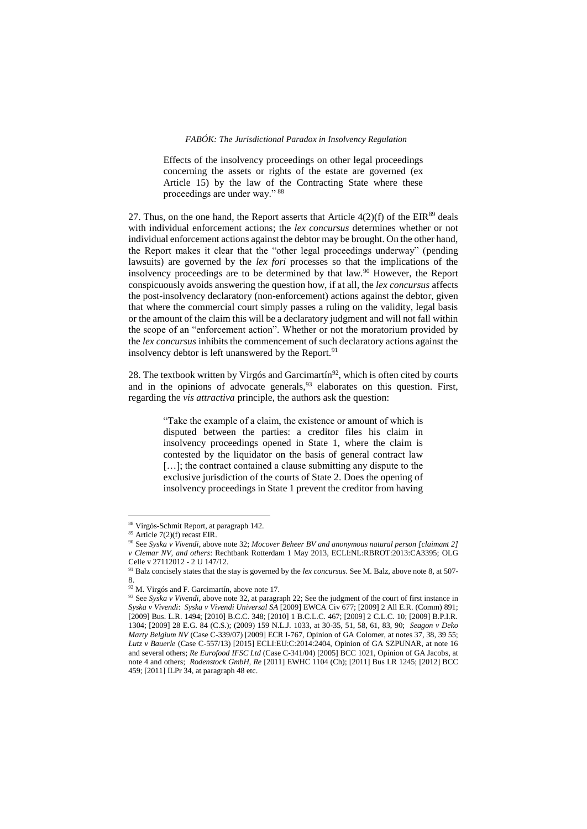Effects of the insolvency proceedings on other legal proceedings concerning the assets or rights of the estate are governed (ex Article 15) by the law of the Contracting State where these proceedings are under way." <sup>88</sup>

27. Thus, on the one hand, the Report asserts that Article  $4(2)(f)$  of the EIR<sup>89</sup> deals with individual enforcement actions; the *lex concursus* determines whether or not individual enforcement actions against the debtor may be brought. On the other hand, the Report makes it clear that the "other legal proceedings underway" (pending lawsuits) are governed by the *lex fori* processes so that the implications of the insolvency proceedings are to be determined by that law.<sup>90</sup> However, the Report conspicuously avoids answering the question how, if at all, the *lex concursus* affects the post-insolvency declaratory (non-enforcement) actions against the debtor, given that where the commercial court simply passes a ruling on the validity, legal basis or the amount of the claim this will be a declaratory judgment and will not fall within the scope of an "enforcement action". Whether or not the moratorium provided by the *lex concursus* inhibits the commencement of such declaratory actions against the insolvency debtor is left unanswered by the Report.<sup>91</sup>

28. The textbook written by Virgós and Garcimartín<sup>92</sup>, which is often cited by courts and in the opinions of advocate generals,<sup>93</sup> elaborates on this question. First, regarding the *vis attractiva* principle, the authors ask the question:

> "Take the example of a claim, the existence or amount of which is disputed between the parties: a creditor files his claim in insolvency proceedings opened in State 1, where the claim is contested by the liquidator on the basis of general contract law [...]; the contract contained a clause submitting any dispute to the exclusive jurisdiction of the courts of State 2. Does the opening of insolvency proceedings in State 1 prevent the creditor from having

<sup>88</sup> Virgós-Schmit Report, at paragraph 142.

 $89$  Article 7(2)(f) recast EIR.

<sup>90</sup> See *Syska v Vivendi*, above note 32; *Mocover Beheer BV and anonymous natural person [claimant 2] v Clemar NV, and others*: Rechtbank Rotterdam 1 May 2013, ECLI:NL:RBROT:2013:CA3395; OLG Celle v 27112012 - 2 U 147/12.

<sup>&</sup>lt;sup>91</sup> Balz concisely states that the stay is governed by the *lex concursus*. See M. Balz, above note 8, at 507-8.

<sup>&</sup>lt;sup>92</sup> M. Virgós and F. Garcimartín, above note 17.

<sup>&</sup>lt;sup>93</sup> See *Syska v Vivendi*, above note 32, at paragraph 22; See the judgment of the court of first instance in *Syska v Vivendi*: *Syska v Vivendi Universal SA* [2009] EWCA Civ 677; [2009] 2 All E.R. (Comm) 891; [2009] Bus. L.R. 1494; [2010] B.C.C. 348; [2010] 1 B.C.L.C. 467; [2009] 2 C.L.C. 10; [2009] B.P.I.R. 1304; [2009] 28 E.G. 84 (C.S.); (2009) 159 N.L.J. 1033, at 30-35, 51, 58, 61, 83, 90; *Seagon v Deko Marty Belgium NV* (Case C-339/07) [2009] ECR I-767, Opinion of GA Colomer, at notes 37, 38, 39 55; *Lutz v Bauerle* (Case C-557/13) [2015] ECLI:EU:C:2014:2404, Opinion of GA SZPUNAR, at note 16 and several others; *Re Eurofood IFSC Ltd* (Case C-341/04) [2005] BCC 1021, Opinion of GA Jacobs, at note 4 and others; *Rodenstock GmbH, Re* [2011] EWHC 1104 (Ch); [2011] Bus LR 1245; [2012] BCC 459; [2011] ILPr 34, at paragraph 48 etc.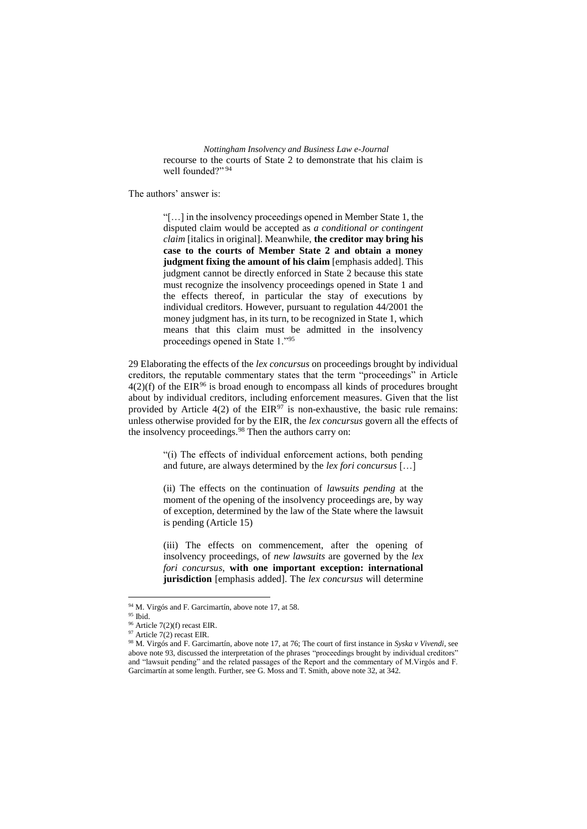*Nottingham Insolvency and Business Law e-Journal* recourse to the courts of State 2 to demonstrate that his claim is well founded?" 94

The authors' answer is:

"[…] in the insolvency proceedings opened in Member State 1, the disputed claim would be accepted as *a conditional or contingent claim* [italics in original]. Meanwhile, **the creditor may bring his case to the courts of Member State 2 and obtain a money judgment fixing the amount of his claim** [emphasis added]. This judgment cannot be directly enforced in State 2 because this state must recognize the insolvency proceedings opened in State 1 and the effects thereof, in particular the stay of executions by individual creditors. However, pursuant to regulation 44/2001 the money judgment has, in its turn, to be recognized in State 1, which means that this claim must be admitted in the insolvency proceedings opened in State 1."<sup>95</sup>

29 Elaborating the effects of the *lex concursus* on proceedings brought by individual creditors, the reputable commentary states that the term "proceedings" in Article  $4(2)(f)$  of the EIR<sup>96</sup> is broad enough to encompass all kinds of procedures brought about by individual creditors, including enforcement measures. Given that the list provided by Article 4(2) of the  $EIR^{97}$  is non-exhaustive, the basic rule remains: unless otherwise provided for by the EIR, the *lex concursus* govern all the effects of the insolvency proceedings.<sup>98</sup> Then the authors carry on:

> "(i) The effects of individual enforcement actions, both pending and future, are always determined by the *lex fori concursus* […]

> (ii) The effects on the continuation of *lawsuits pending* at the moment of the opening of the insolvency proceedings are, by way of exception, determined by the law of the State where the lawsuit is pending (Article 15)

> (iii) The effects on commencement, after the opening of insolvency proceedings, of *new lawsuits* are governed by the *lex fori concursus*, **with one important exception: international jurisdiction** [emphasis added]. The *lex concursus* will determine

<sup>&</sup>lt;sup>94</sup> M. Virgós and F. Garcimartín, above note 17, at 58.

 $^{\mathrm{95}}$  Ibid.

<sup>96</sup> Article 7(2)(f) recast EIR.

<sup>&</sup>lt;sup>97</sup> Article 7(2) recast EIR.

<sup>98</sup> M. Virgós and F. Garcimartín, above note 17, at 76; The court of first instance in *Syska v Vivendi*, see above note 93, discussed the interpretation of the phrases "proceedings brought by individual creditors" and "lawsuit pending" and the related passages of the Report and the commentary of M.Virgós and F. Garcimartín at some length. Further, see G. Moss and T. Smith, above note 32, at 342.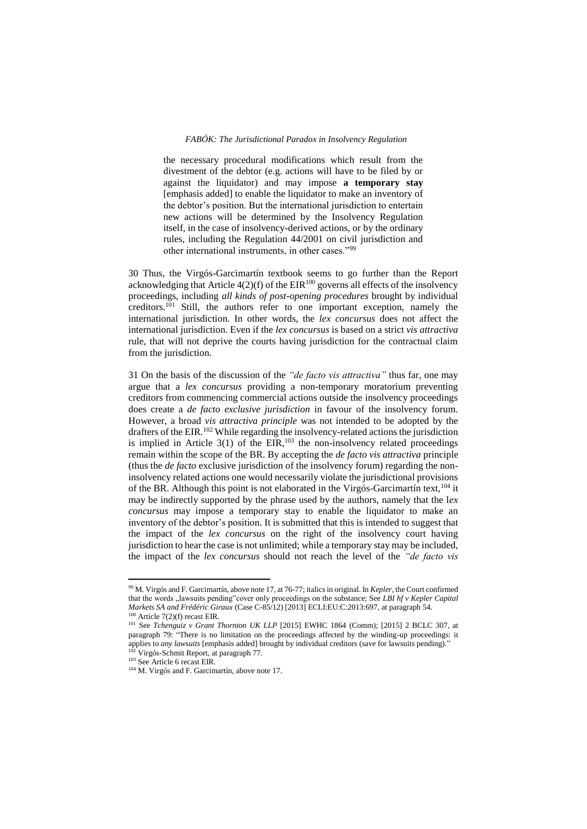the necessary procedural modifications which result from the divestment of the debtor (e.g. actions will have to be filed by or against the liquidator) and may impose **a temporary stay** [emphasis added] to enable the liquidator to make an inventory of the debtor's position. But the international jurisdiction to entertain new actions will be determined by the Insolvency Regulation itself, in the case of insolvency-derived actions, or by the ordinary rules, including the Regulation 44/2001 on civil jurisdiction and other international instruments, in other cases."<sup>99</sup>

30 Thus, the Virgós-Garcimartín textbook seems to go further than the Report acknowledging that Article  $4(2)(f)$  of the EIR<sup>100</sup> governs all effects of the insolvency proceedings, including *all kinds of post-opening procedures* brought by individual creditors.<sup>101</sup> Still, the authors refer to one important exception, namely the international jurisdiction. In other words, the *lex concursus* does not affect the international jurisdiction. Even if the *lex concursus* is based on a strict *vis attractiva* rule, that will not deprive the courts having jurisdiction for the contractual claim from the jurisdiction.

31 On the basis of the discussion of the *"de facto vis attractiva"* thus far, one may argue that a *lex concursus* providing a non-temporary moratorium preventing creditors from commencing commercial actions outside the insolvency proceedings does create a *de facto exclusive jurisdiction* in favour of the insolvency forum. However, a broad *vis attractiva principle* was not intended to be adopted by the drafters of the EIR.<sup>102</sup> While regarding the insolvency-related actions the jurisdiction is implied in Article  $3(1)$  of the EIR,  $103$  the non-insolvency related proceedings remain within the scope of the BR. By accepting the *de facto vis attractiva* principle (thus the *de facto* exclusive jurisdiction of the insolvency forum) regarding the noninsolvency related actions one would necessarily violate the jurisdictional provisions of the BR. Although this point is not elaborated in the Virgós-Garcimartín text, <sup>104</sup> it may be indirectly supported by the phrase used by the authors, namely that the l*ex concursus* may impose a temporary stay to enable the liquidator to make an inventory of the debtor's position. It is submitted that this is intended to suggest that the impact of the *lex concursus* on the right of the insolvency court having jurisdiction to hear the case is not unlimited; while a temporary stay may be included, the impact of the *lex concursus* should not reach the level of the *"de facto vis* 

<sup>99</sup> M. Virgós and F. Garcimartín, above note 17, at 76-77; italics in original. In *Kepler*, the Court confirmed that the words "lawsuits pending"cover only proceedings on the substance; See *LBI hf v Kepler Capital Markets SA and Frédéric Giraux* (Case C-85/12) [2013] ECLI:EU:C:2013:697, at paragraph 54.  $100$  Article 7(2)(f) recast EIR.

<sup>&</sup>lt;sup>101</sup> See *Tchenguiz v Grant Thornton UK LLP* [2015] EWHC 1864 (Comm); [2015] 2 BCLC 307, at paragraph 79: "There is no limitation on the proceedings affected by the winding-up proceedings: it applies to *any lawsuits* [emphasis added] brought by individual creditors (save for lawsuits pending)." <sup>102</sup> Virgós-Schmit Report, at paragraph 77.

<sup>103</sup> See Article 6 recast EIR.

<sup>104</sup> M. Virgós and F. Garcimartín, above note 17.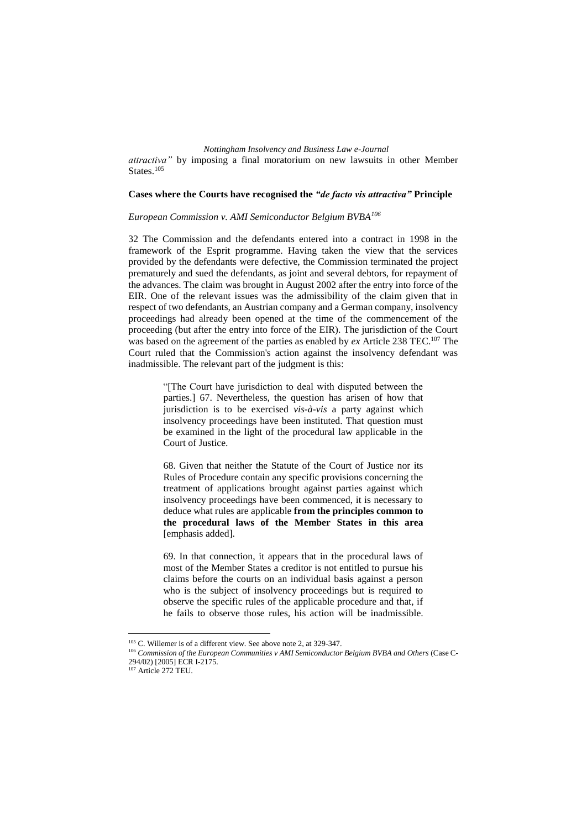*attractiva"* by imposing a final moratorium on new lawsuits in other Member States.<sup>105</sup>

#### **Cases where the Courts have recognised the** *"de facto vis attractiva"* **Principle**

*European Commission v. AMI Semiconductor Belgium BVBA<sup>106</sup>*

32 The Commission and the defendants entered into a contract in 1998 in the framework of the Esprit programme. Having taken the view that the services provided by the defendants were defective, the Commission terminated the project prematurely and sued the defendants, as joint and several debtors, for repayment of the advances. The claim was brought in August 2002 after the entry into force of the EIR. One of the relevant issues was the admissibility of the claim given that in respect of two defendants, an Austrian company and a German company, insolvency proceedings had already been opened at the time of the commencement of the proceeding (but after the entry into force of the EIR). The jurisdiction of the Court was based on the agreement of the parties as enabled by *ex* Article 238 TEC.<sup>107</sup> The Court ruled that the Commission's action against the insolvency defendant was inadmissible. The relevant part of the judgment is this:

> "[The Court have jurisdiction to deal with disputed between the parties.] 67. Nevertheless, the question has arisen of how that jurisdiction is to be exercised *vis-à-vis* a party against which insolvency proceedings have been instituted. That question must be examined in the light of the procedural law applicable in the Court of Justice.

> 68. Given that neither the Statute of the Court of Justice nor its Rules of Procedure contain any specific provisions concerning the treatment of applications brought against parties against which insolvency proceedings have been commenced, it is necessary to deduce what rules are applicable **from the principles common to the procedural laws of the Member States in this area** [emphasis added].

> 69. In that connection, it appears that in the procedural laws of most of the Member States a creditor is not entitled to pursue his claims before the courts on an individual basis against a person who is the subject of insolvency proceedings but is required to observe the specific rules of the applicable procedure and that, if he fails to observe those rules, his action will be inadmissible.

<sup>&</sup>lt;sup>105</sup> C. Willemer is of a different view. See above note 2, at 329-347.

<sup>&</sup>lt;sup>106</sup> Commission of the European Communities v AMI Semiconductor Belgium BVBA and Others (Case C-294/02) [2005] ECR I-2175.

<sup>&</sup>lt;sup>107</sup> Article 272 TEU.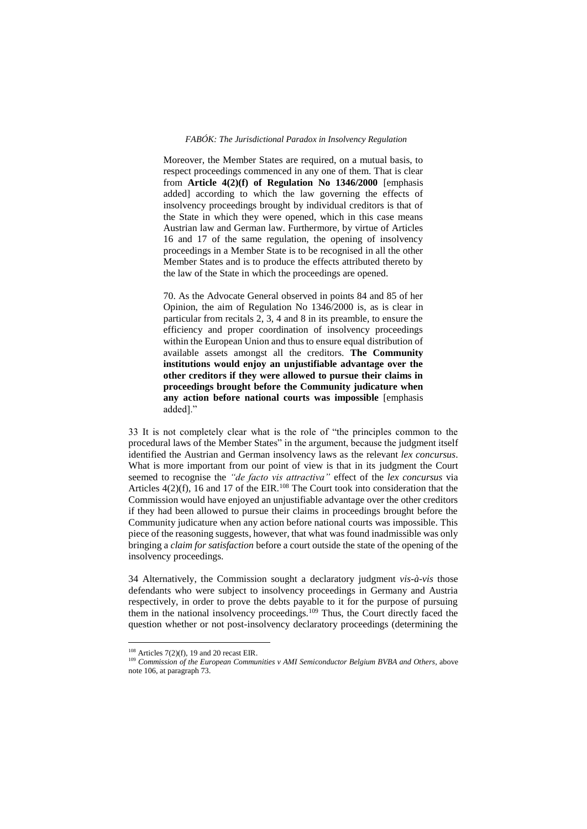Moreover, the Member States are required, on a mutual basis, to respect proceedings commenced in any one of them. That is clear from **Article 4(2)(f) of Regulation No 1346/2000** [emphasis added] according to which the law governing the effects of insolvency proceedings brought by individual creditors is that of the State in which they were opened, which in this case means Austrian law and German law. Furthermore, by virtue of Articles 16 and 17 of the same regulation, the opening of insolvency proceedings in a Member State is to be recognised in all the other Member States and is to produce the effects attributed thereto by the law of the State in which the proceedings are opened.

70. As the Advocate General observed in points 84 and 85 of her Opinion, the aim of Regulation No 1346/2000 is, as is clear in particular from recitals 2, 3, 4 and 8 in its preamble, to ensure the efficiency and proper coordination of insolvency proceedings within the European Union and thus to ensure equal distribution of available assets amongst all the creditors. **The Community institutions would enjoy an unjustifiable advantage over the other creditors if they were allowed to pursue their claims in proceedings brought before the Community judicature when any action before national courts was impossible** [emphasis added]."

33 It is not completely clear what is the role of "the principles common to the procedural laws of the Member States" in the argument, because the judgment itself identified the Austrian and German insolvency laws as the relevant *lex concursus*. What is more important from our point of view is that in its judgment the Court seemed to recognise the *"de facto vis attractiva"* effect of the *lex concursus* via Articles  $4(2)(f)$ , 16 and 17 of the EIR.<sup>108</sup> The Court took into consideration that the Commission would have enjoyed an unjustifiable advantage over the other creditors if they had been allowed to pursue their claims in proceedings brought before the Community judicature when any action before national courts was impossible. This piece of the reasoning suggests, however, that what was found inadmissible was only bringing a *claim for satisfaction* before a court outside the state of the opening of the insolvency proceedings.

34 Alternatively, the Commission sought a declaratory judgment *vis-à-vis* those defendants who were subject to insolvency proceedings in Germany and Austria respectively, in order to prove the debts payable to it for the purpose of pursuing them in the national insolvency proceedings.<sup>109</sup> Thus, the Court directly faced the question whether or not post-insolvency declaratory proceedings (determining the

 $108$  Articles 7(2)(f), 19 and 20 recast EIR.

<sup>&</sup>lt;sup>109</sup> Commission of the European Communities v AMI Semiconductor Belgium BVBA and Others, above note 106, at paragraph 73.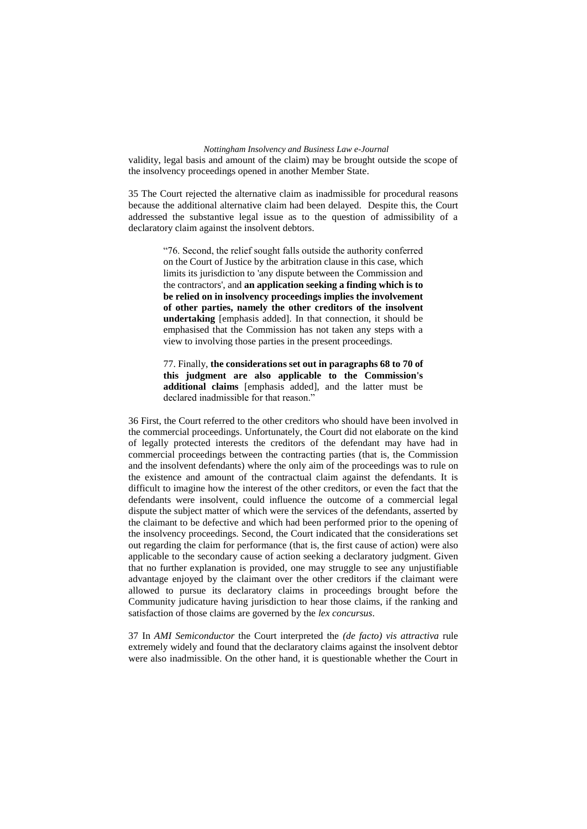validity, legal basis and amount of the claim) may be brought outside the scope of the insolvency proceedings opened in another Member State.

35 The Court rejected the alternative claim as inadmissible for procedural reasons because the additional alternative claim had been delayed. Despite this, the Court addressed the substantive legal issue as to the question of admissibility of a declaratory claim against the insolvent debtors.

> "76. Second, the relief sought falls outside the authority conferred on the Court of Justice by the arbitration clause in this case, which limits its jurisdiction to 'any dispute between the Commission and the contractors', and **an application seeking a finding which is to be relied on in insolvency proceedings implies the involvement of other parties, namely the other creditors of the insolvent undertaking** [emphasis added]. In that connection, it should be emphasised that the Commission has not taken any steps with a view to involving those parties in the present proceedings.

> 77. Finally, **the considerations set out in paragraphs 68 to 70 of this judgment are also applicable to the Commission's additional claims** [emphasis added], and the latter must be declared inadmissible for that reason."

36 First, the Court referred to the other creditors who should have been involved in the commercial proceedings. Unfortunately, the Court did not elaborate on the kind of legally protected interests the creditors of the defendant may have had in commercial proceedings between the contracting parties (that is, the Commission and the insolvent defendants) where the only aim of the proceedings was to rule on the existence and amount of the contractual claim against the defendants. It is difficult to imagine how the interest of the other creditors, or even the fact that the defendants were insolvent, could influence the outcome of a commercial legal dispute the subject matter of which were the services of the defendants, asserted by the claimant to be defective and which had been performed prior to the opening of the insolvency proceedings. Second, the Court indicated that the considerations set out regarding the claim for performance (that is, the first cause of action) were also applicable to the secondary cause of action seeking a declaratory judgment. Given that no further explanation is provided, one may struggle to see any unjustifiable advantage enjoyed by the claimant over the other creditors if the claimant were allowed to pursue its declaratory claims in proceedings brought before the Community judicature having jurisdiction to hear those claims, if the ranking and satisfaction of those claims are governed by the *lex concursus*.

37 In *AMI Semiconductor* the Court interpreted the *(de facto) vis attractiva* rule extremely widely and found that the declaratory claims against the insolvent debtor were also inadmissible. On the other hand, it is questionable whether the Court in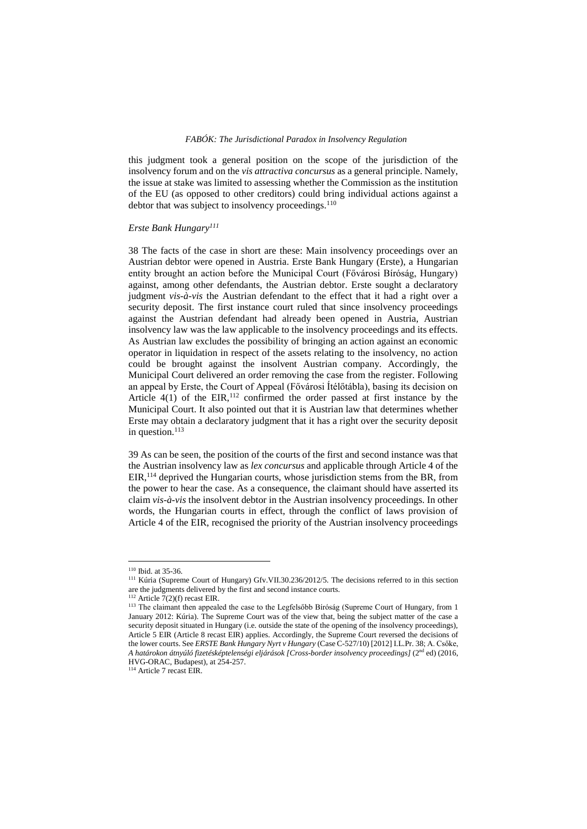this judgment took a general position on the scope of the jurisdiction of the insolvency forum and on the *vis attractiva concursus* as a general principle. Namely, the issue at stake was limited to assessing whether the Commission as the institution of the EU (as opposed to other creditors) could bring individual actions against a debtor that was subject to insolvency proceedings.<sup>110</sup>

#### *Erste Bank Hungary<sup>111</sup>*

38 The facts of the case in short are these: Main insolvency proceedings over an Austrian debtor were opened in Austria. Erste Bank Hungary (Erste), a Hungarian entity brought an action before the Municipal Court (Fővárosi Bíróság, Hungary) against, among other defendants, the Austrian debtor. Erste sought a declaratory judgment *vis-à-vis* the Austrian defendant to the effect that it had a right over a security deposit. The first instance court ruled that since insolvency proceedings against the Austrian defendant had already been opened in Austria, Austrian insolvency law was the law applicable to the insolvency proceedings and its effects. As Austrian law excludes the possibility of bringing an action against an economic operator in liquidation in respect of the assets relating to the insolvency, no action could be brought against the insolvent Austrian company. Accordingly, the Municipal Court delivered an order removing the case from the register. Following an appeal by Erste, the Court of Appeal (Fővárosi Ítélőtábla), basing its decision on Article  $4(1)$  of the EIR,<sup>112</sup> confirmed the order passed at first instance by the Municipal Court. It also pointed out that it is Austrian law that determines whether Erste may obtain a declaratory judgment that it has a right over the security deposit in question.<sup>113</sup>

39 As can be seen, the position of the courts of the first and second instance was that the Austrian insolvency law as *lex concursus* and applicable through Article 4 of the EIR, <sup>114</sup> deprived the Hungarian courts, whose jurisdiction stems from the BR, from the power to hear the case. As a consequence, the claimant should have asserted its claim *vis-à-vis* the insolvent debtor in the Austrian insolvency proceedings. In other words, the Hungarian courts in effect, through the conflict of laws provision of Article 4 of the EIR, recognised the priority of the Austrian insolvency proceedings

<sup>110</sup> Ibid. at 35-36.

<sup>111</sup> Kúria (Supreme Court of Hungary) Gfv.VII.30.236/2012/5. The decisions referred to in this section are the judgments delivered by the first and second instance courts.

<sup>&</sup>lt;sup>112</sup> Article  $7(2)(f)$  recast EIR.

<sup>&</sup>lt;sup>113</sup> The claimant then appealed the case to the Legfelsőbb Bíróság (Supreme Court of Hungary, from 1 January 2012: Kúria). The Supreme Court was of the view that, being the subject matter of the case a security deposit situated in Hungary (i.e. outside the state of the opening of the insolvency proceedings), Article 5 EIR (Article 8 recast EIR) applies. Accordingly, the Supreme Court reversed the decisions of the lower courts. See *ERSTE Bank Hungary Nyrt v Hungary* (Case C-527/10) [2012] I.L.Pr. 38; A. Csőke, *A határokon átnyúló fizetésképtelenségi eljárások [Cross-border insolvency proceedings]* (2nd ed) (2016, HVG-ORAC, Budapest), at 254-257.

<sup>114</sup> Article 7 recast EIR.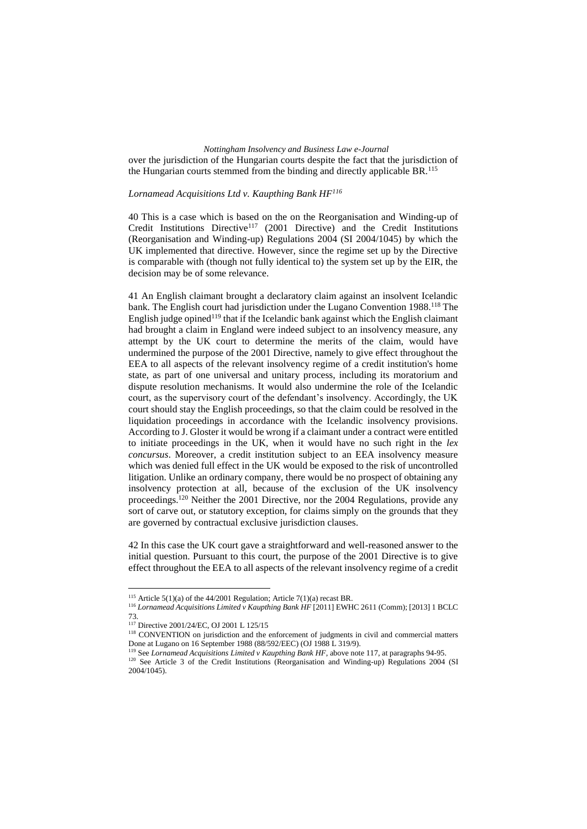over the jurisdiction of the Hungarian courts despite the fact that the jurisdiction of the Hungarian courts stemmed from the binding and directly applicable BR.<sup>115</sup>

# *Lornamead Acquisitions Ltd v. Kaupthing Bank HF<sup>116</sup>*

40 This is a case which is based on the on the Reorganisation and Winding-up of Credit Institutions Directive<sup>117</sup> (2001 Directive) and the Credit Institutions (Reorganisation and Winding-up) Regulations 2004 (SI 2004/1045) by which the UK implemented that directive. However, since the regime set up by the Directive is comparable with (though not fully identical to) the system set up by the EIR, the decision may be of some relevance.

41 An English claimant brought a declaratory claim against an insolvent Icelandic bank. The English court had jurisdiction under the Lugano Convention 1988.<sup>118</sup> The English judge opined<sup> $119$ </sup> that if the Icelandic bank against which the English claimant had brought a claim in England were indeed subject to an insolvency measure, any attempt by the UK court to determine the merits of the claim, would have undermined the purpose of the 2001 Directive, namely to give effect throughout the EEA to all aspects of the relevant insolvency regime of a credit institution's home state, as part of one universal and unitary process, including its moratorium and dispute resolution mechanisms. It would also undermine the role of the Icelandic court, as the supervisory court of the defendant's insolvency. Accordingly, the UK court should stay the English proceedings, so that the claim could be resolved in the liquidation proceedings in accordance with the Icelandic insolvency provisions. According to J. Gloster it would be wrong if a claimant under a contract were entitled to initiate proceedings in the UK, when it would have no such right in the *lex concursus*. Moreover, a credit institution subject to an EEA insolvency measure which was denied full effect in the UK would be exposed to the risk of uncontrolled litigation. Unlike an ordinary company, there would be no prospect of obtaining any insolvency protection at all, because of the exclusion of the UK insolvency proceedings.<sup>120</sup> Neither the 2001 Directive, nor the 2004 Regulations, provide any sort of carve out, or statutory exception, for claims simply on the grounds that they are governed by contractual exclusive jurisdiction clauses.

42 In this case the UK court gave a straightforward and well-reasoned answer to the initial question. Pursuant to this court, the purpose of the 2001 Directive is to give effect throughout the EEA to all aspects of the relevant insolvency regime of a credit

<sup>&</sup>lt;sup>115</sup> Article 5(1)(a) of the 44/2001 Regulation; Article 7(1)(a) recast BR.

<sup>116</sup> *Lornamead Acquisitions Limited v Kaupthing Bank HF* [2011] EWHC 2611 (Comm); [2013] 1 BCLC 73.

<sup>117</sup> Directive 2001/24/EC, OJ 2001 L 125/15

<sup>&</sup>lt;sup>118</sup> CONVENTION on jurisdiction and the enforcement of judgments in civil and commercial matters Done at Lugano on 16 September 1988 (88/592/EEC) (OJ 1988 L 319/9).

<sup>119</sup> See *Lornamead Acquisitions Limited v Kaupthing Bank HF*, above note 117, at paragraphs 94-95. <sup>120</sup> See Article 3 of the Credit Institutions (Reorganisation and Winding-up) Regulations 2004 (SI 2004/1045).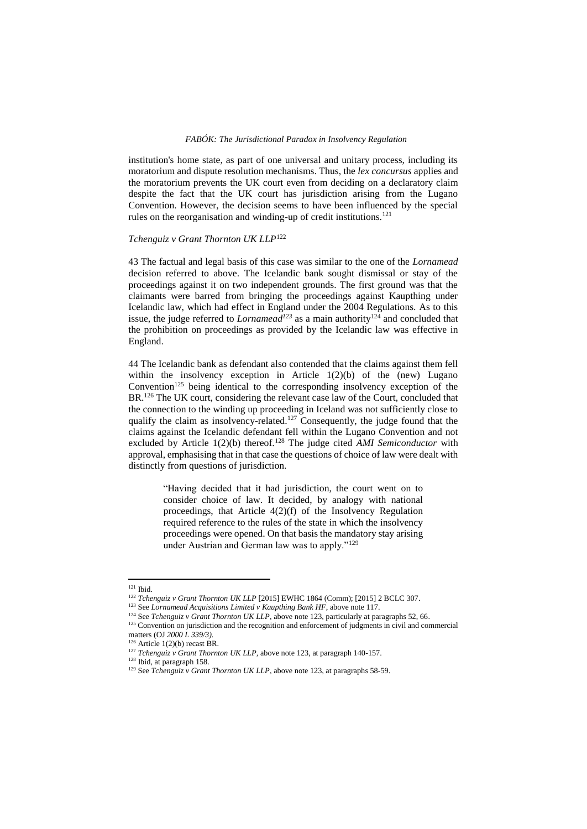institution's home state, as part of one universal and unitary process, including its moratorium and dispute resolution mechanisms. Thus, the *lex concursus* applies and the moratorium prevents the UK court even from deciding on a declaratory claim despite the fact that the UK court has jurisdiction arising from the Lugano Convention. However, the decision seems to have been influenced by the special rules on the reorganisation and winding-up of credit institutions.<sup>121</sup>

# *Tchenguiz v Grant Thornton UK LLP*<sup>122</sup>

43 The factual and legal basis of this case was similar to the one of the *Lornamead* decision referred to above. The Icelandic bank sought dismissal or stay of the proceedings against it on two independent grounds. The first ground was that the claimants were barred from bringing the proceedings against Kaupthing under Icelandic law, which had effect in England under the 2004 Regulations. As to this issue, the judge referred to *Lornamead*<sup>123</sup> as a main authority<sup>124</sup> and concluded that the prohibition on proceedings as provided by the Icelandic law was effective in England.

44 The Icelandic bank as defendant also contended that the claims against them fell within the insolvency exception in Article  $1(2)(b)$  of the (new) Lugano Convention $125$  being identical to the corresponding insolvency exception of the BR.<sup>126</sup> The UK court, considering the relevant case law of the Court, concluded that the connection to the winding up proceeding in Iceland was not sufficiently close to qualify the claim as insolvency-related.<sup>127</sup> Consequently, the judge found that the claims against the Icelandic defendant fell within the Lugano Convention and not excluded by Article 1(2)(b) thereof.<sup>128</sup> The judge cited *AMI Semiconductor* with approval, emphasising that in that case the questions of choice of law were dealt with distinctly from questions of jurisdiction.

> "Having decided that it had jurisdiction, the court went on to consider choice of law. It decided, by analogy with national proceedings, that Article 4(2)(f) of the Insolvency Regulation required reference to the rules of the state in which the insolvency proceedings were opened. On that basis the mandatory stay arising under Austrian and German law was to apply."<sup>129</sup>

<sup>121</sup> Ibid.

<sup>122</sup> *Tchenguiz v Grant Thornton UK LLP* [2015] EWHC 1864 (Comm); [2015] 2 BCLC 307.

<sup>&</sup>lt;sup>123</sup> See *Lornamead Acquisitions Limited v Kaupthing Bank HF*, above note 117.

<sup>&</sup>lt;sup>124</sup> See *Tchenguiz v Grant Thornton UK LLP*, above note 123, particularly at paragraphs 52, 66.

<sup>&</sup>lt;sup>125</sup> Convention on jurisdiction and the recognition and enforcement of judgments in civil and commercial matters (OJ *2000 L 339/3).*

 $126$  Article 1(2)(b) recast BR.

<sup>&</sup>lt;sup>127</sup> *Tchenguiz v Grant Thornton UK LLP*, above note 123, at paragraph 140-157.

<sup>128</sup> Ibid, at paragraph 158.

<sup>&</sup>lt;sup>129</sup> See *Tchenguiz v Grant Thornton UK LLP*, above note 123, at paragraphs 58-59.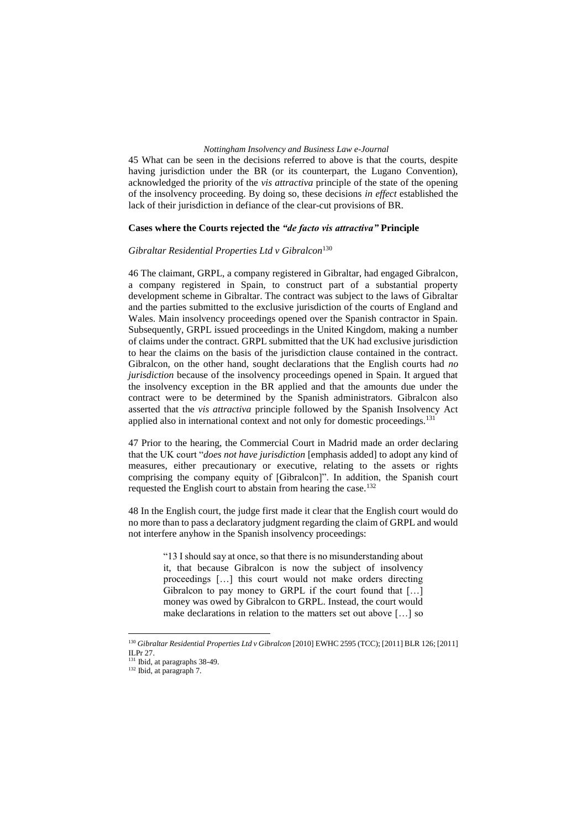45 What can be seen in the decisions referred to above is that the courts, despite having jurisdiction under the BR (or its counterpart, the Lugano Convention), acknowledged the priority of the *vis attractiva* principle of the state of the opening of the insolvency proceeding. By doing so, these decisions *in effect* established the lack of their jurisdiction in defiance of the clear-cut provisions of BR.

#### **Cases where the Courts rejected the** *"de facto vis attractiva"* **Principle**

#### *Gibraltar Residential Properties Ltd v Gibralcon*<sup>130</sup>

46 The claimant, GRPL, a company registered in Gibraltar, had engaged Gibralcon, a company registered in Spain, to construct part of a substantial property development scheme in Gibraltar. The contract was subject to the laws of Gibraltar and the parties submitted to the exclusive jurisdiction of the courts of England and Wales. Main insolvency proceedings opened over the Spanish contractor in Spain. Subsequently, GRPL issued proceedings in the United Kingdom, making a number of claims under the contract. GRPL submitted that the UK had exclusive jurisdiction to hear the claims on the basis of the jurisdiction clause contained in the contract. Gibralcon, on the other hand, sought declarations that the English courts had *no jurisdiction* because of the insolvency proceedings opened in Spain. It argued that the insolvency exception in the BR applied and that the amounts due under the contract were to be determined by the Spanish administrators. Gibralcon also asserted that the *vis attractiva* principle followed by the Spanish Insolvency Act applied also in international context and not only for domestic proceedings.<sup>131</sup>

47 Prior to the hearing, the Commercial Court in Madrid made an order declaring that the UK court "*does not have jurisdiction* [emphasis added] to adopt any kind of measures, either precautionary or executive, relating to the assets or rights comprising the company equity of [Gibralcon]". In addition, the Spanish court requested the English court to abstain from hearing the case.<sup>132</sup>

48 In the English court, the judge first made it clear that the English court would do no more than to pass a declaratory judgment regarding the claim of GRPL and would not interfere anyhow in the Spanish insolvency proceedings:

> "13 I should say at once, so that there is no misunderstanding about it, that because Gibralcon is now the subject of insolvency proceedings […] this court would not make orders directing Gibralcon to pay money to GRPL if the court found that [...] money was owed by Gibralcon to GRPL. Instead, the court would make declarations in relation to the matters set out above […] so

<sup>&</sup>lt;sup>130</sup> Gibraltar Residential Properties Ltd v Gibralcon [2010] EWHC 2595 (TCC); [2011] BLR 126; [2011] ILPr 27.

<sup>&</sup>lt;sup>131</sup> Ibid, at paragraphs 38-49.

<sup>132</sup> Ibid, at paragraph 7.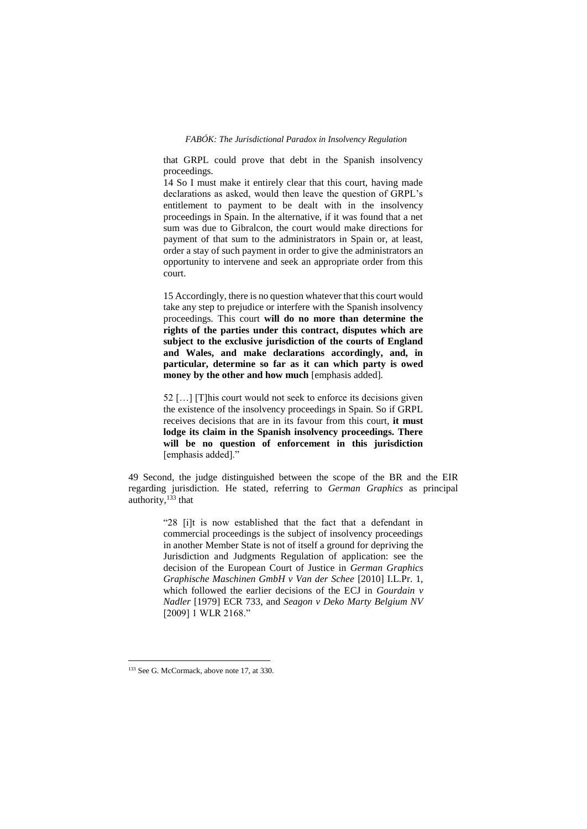that GRPL could prove that debt in the Spanish insolvency proceedings.

14 So I must make it entirely clear that this court, having made declarations as asked, would then leave the question of GRPL's entitlement to payment to be dealt with in the insolvency proceedings in Spain. In the alternative, if it was found that a net sum was due to Gibralcon, the court would make directions for payment of that sum to the administrators in Spain or, at least, order a stay of such payment in order to give the administrators an opportunity to intervene and seek an appropriate order from this court.

15 Accordingly, there is no question whatever that this court would take any step to prejudice or interfere with the Spanish insolvency proceedings. This court **will do no more than determine the rights of the parties under this contract, disputes which are subject to the exclusive jurisdiction of the courts of England and Wales, and make declarations accordingly, and, in particular, determine so far as it can which party is owed money by the other and how much** [emphasis added]*.*

52 […] [T]his court would not seek to enforce its decisions given the existence of the insolvency proceedings in Spain. So if GRPL receives decisions that are in its favour from this court, **it must lodge its claim in the Spanish insolvency proceedings. There will be no question of enforcement in this jurisdiction** [emphasis added]."

49 Second, the judge distinguished between the scope of the BR and the EIR regarding jurisdiction. He stated, referring to *German Graphics* as principal authority,<sup>133</sup> that

> "28 [i]t is now established that the fact that a defendant in commercial proceedings is the subject of insolvency proceedings in another Member State is not of itself a ground for depriving the Jurisdiction and Judgments Regulation of application: see the decision of the European Court of Justice in *German Graphics Graphische Maschinen GmbH v Van der Schee* [2010] I.L.Pr. 1, which followed the earlier decisions of the ECJ in *Gourdain v Nadler* [1979] ECR 733, and *Seagon v Deko Marty Belgium NV*  [2009] 1 WLR 2168."

<sup>&</sup>lt;sup>133</sup> See G. McCormack, above note 17, at 330.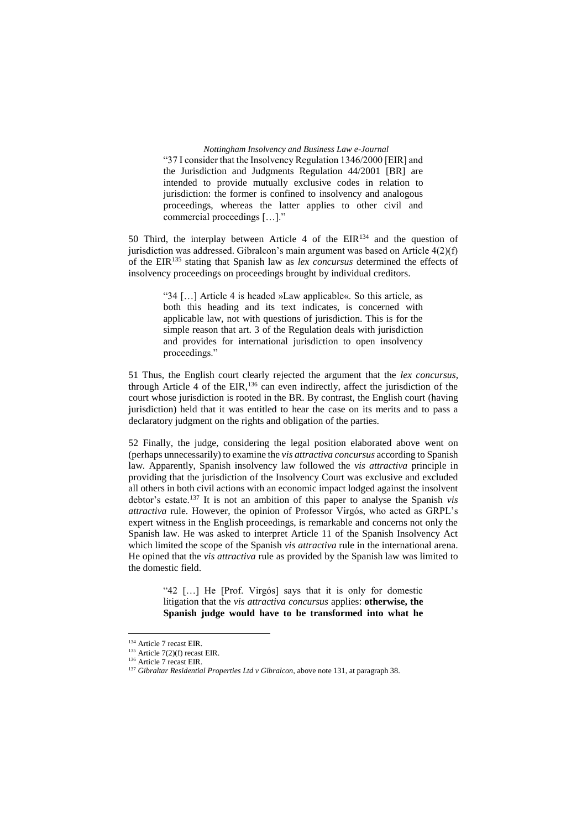*Nottingham Insolvency and Business Law e-Journal* "37 I consider that the Insolvency Regulation 1346/2000 [EIR] and the Jurisdiction and Judgments Regulation 44/2001 [BR] are intended to provide mutually exclusive codes in relation to jurisdiction: the former is confined to insolvency and analogous proceedings, whereas the latter applies to other civil and commercial proceedings […]."

50 Third, the interplay between Article 4 of the EIR<sup>134</sup> and the question of jurisdiction was addressed. Gibralcon's main argument was based on Article 4(2)(f) of the EIR<sup>135</sup> stating that Spanish law as *lex concursus* determined the effects of insolvency proceedings on proceedings brought by individual creditors.

> "34 […] Article 4 is headed »Law applicable«. So this article, as both this heading and its text indicates, is concerned with applicable law, not with questions of jurisdiction. This is for the simple reason that art. 3 of the Regulation deals with jurisdiction and provides for international jurisdiction to open insolvency proceedings."

51 Thus, the English court clearly rejected the argument that the *lex concursus*, through Article 4 of the EIR,<sup>136</sup> can even indirectly, affect the jurisdiction of the court whose jurisdiction is rooted in the BR. By contrast, the English court (having jurisdiction) held that it was entitled to hear the case on its merits and to pass a declaratory judgment on the rights and obligation of the parties.

52 Finally, the judge, considering the legal position elaborated above went on (perhaps unnecessarily) to examine the *vis attractiva concursus* according to Spanish law. Apparently, Spanish insolvency law followed the *vis attractiva* principle in providing that the jurisdiction of the Insolvency Court was exclusive and excluded all others in both civil actions with an economic impact lodged against the insolvent debtor's estate.<sup>137</sup> It is not an ambition of this paper to analyse the Spanish *vis attractiva* rule. However, the opinion of Professor Virgós, who acted as GRPL's expert witness in the English proceedings, is remarkable and concerns not only the Spanish law. He was asked to interpret Article 11 of the Spanish Insolvency Act which limited the scope of the Spanish *vis attractiva* rule in the international arena. He opined that the *vis attractiva* rule as provided by the Spanish law was limited to the domestic field.

> "42 […] He [Prof. Virgós] says that it is only for domestic litigation that the *vis attractiva concursus* applies: **otherwise, the Spanish judge would have to be transformed into what he**

<sup>&</sup>lt;sup>134</sup> Article 7 recast EIR.

<sup>135</sup> Article 7(2)(f) recast EIR.

<sup>&</sup>lt;sup>136</sup> Article 7 recast EIR.

<sup>137</sup> *Gibraltar Residential Properties Ltd v Gibralcon*, above note 131, at paragraph 38.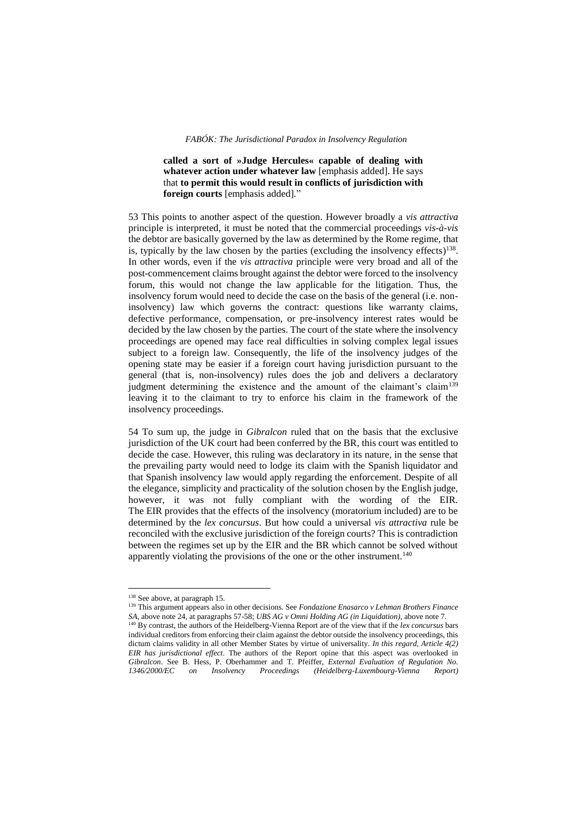**called a sort of »Judge Hercules« capable of dealing with whatever action under whatever law** [emphasis added]. He says that **to permit this would result in conflicts of jurisdiction with foreign courts** [emphasis added]*.*"

53 This points to another aspect of the question. However broadly a *vis attractiva* principle is interpreted, it must be noted that the commercial proceedings *vis-à-vis* the debtor are basically governed by the law as determined by the Rome regime, that is, typically by the law chosen by the parties (excluding the insolvency effects)<sup>138</sup>. In other words, even if the *vis attractiva* principle were very broad and all of the post-commencement claims brought against the debtor were forced to the insolvency forum, this would not change the law applicable for the litigation. Thus, the insolvency forum would need to decide the case on the basis of the general (i.e. noninsolvency) law which governs the contract: questions like warranty claims, defective performance, compensation, or pre-insolvency interest rates would be decided by the law chosen by the parties. The court of the state where the insolvency proceedings are opened may face real difficulties in solving complex legal issues subject to a foreign law. Consequently, the life of the insolvency judges of the opening state may be easier if a foreign court having jurisdiction pursuant to the general (that is, non-insolvency) rules does the job and delivers a declaratory judgment determining the existence and the amount of the claimant's claim<sup>139</sup> leaving it to the claimant to try to enforce his claim in the framework of the insolvency proceedings.

54 To sum up, the judge in *Gibralcon* ruled that on the basis that the exclusive jurisdiction of the UK court had been conferred by the BR, this court was entitled to decide the case. However, this ruling was declaratory in its nature, in the sense that the prevailing party would need to lodge its claim with the Spanish liquidator and that Spanish insolvency law would apply regarding the enforcement. Despite of all the elegance, simplicity and practicality of the solution chosen by the English judge, however, it was not fully compliant with the wording of the EIR. The EIR provides that the effects of the insolvency (moratorium included) are to be determined by the *lex concursus*. But how could a universal *vis attractiva* rule be reconciled with the exclusive jurisdiction of the foreign courts? This is contradiction between the regimes set up by the EIR and the BR which cannot be solved without apparently violating the provisions of the one or the other instrument.<sup>140</sup>

<sup>&</sup>lt;sup>138</sup> See above, at paragraph 15.

<sup>139</sup> This argument appears also in other decisions. See *Fondazione Enasarco v Lehman Brothers Finance SA*, above note 24, at paragraphs 57-58; *UBS AG v Omni Holding AG (in Liquidation)*, above note 7.<br><sup>140</sup> By contrast, the outhom of the IL<sup>111</sup> Marting Contrast, *In the Contrast*, the outhom of the IL<sup>111</sup> Marting Contr <sup>140</sup> By contrast, the authors of the Heidelberg-Vienna Report are of the view that if the *lex concursus* bars individual creditors from enforcing their claim against the debtor outside the insolvency proceedings, this dictum claims validity in all other Member States by virtue of universality. *In this regard, Article 4(2) EIR has jurisdictional effect*. The authors of the Report opine that this aspect was overlooked in *Gibralcon*. See B. Hess, P. Oberhammer and T. Pfeiffer, *External Evaluation of Regulation No. 1346/2000/EC on Insolvency Proceedings (Heidelberg-Luxembourg-Vienna Report)*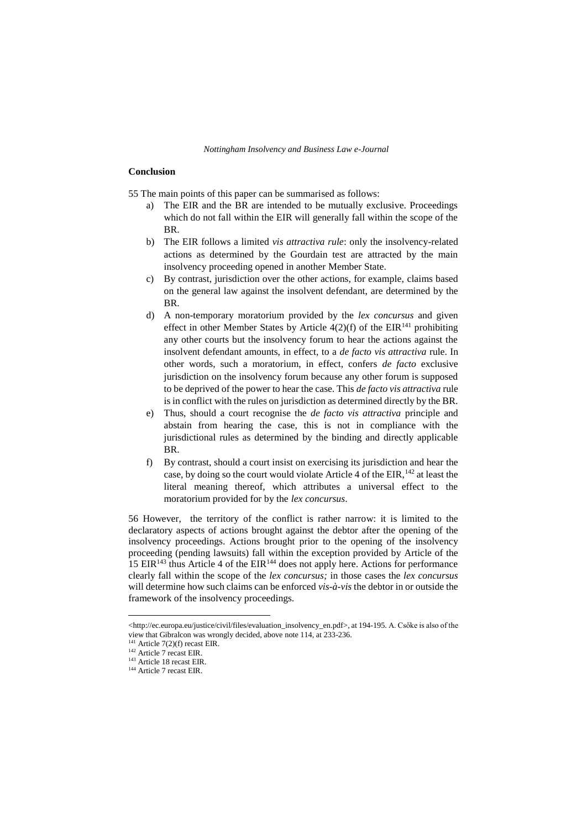#### **Conclusion**

55 The main points of this paper can be summarised as follows:

- The EIR and the BR are intended to be mutually exclusive. Proceedings which do not fall within the EIR will generally fall within the scope of the BR.
- b) The EIR follows a limited *vis attractiva rule*: only the insolvency-related actions as determined by the Gourdain test are attracted by the main insolvency proceeding opened in another Member State.
- c) By contrast, jurisdiction over the other actions, for example, claims based on the general law against the insolvent defendant, are determined by the BR.
- d) A non-temporary moratorium provided by the *lex concursus* and given effect in other Member States by Article  $4(2)(f)$  of the EIR<sup>141</sup> prohibiting any other courts but the insolvency forum to hear the actions against the insolvent defendant amounts, in effect, to a *de facto vis attractiva* rule. In other words, such a moratorium, in effect, confers *de facto* exclusive jurisdiction on the insolvency forum because any other forum is supposed to be deprived of the power to hear the case. This *de facto vis attractiva* rule is in conflict with the rules on jurisdiction as determined directly by the BR.
- e) Thus, should a court recognise the *de facto vis attractiva* principle and abstain from hearing the case, this is not in compliance with the jurisdictional rules as determined by the binding and directly applicable BR.
- f) By contrast, should a court insist on exercising its jurisdiction and hear the case, by doing so the court would violate Article 4 of the EIR,<sup>142</sup> at least the literal meaning thereof, which attributes a universal effect to the moratorium provided for by the *lex concursus*.

56 However, the territory of the conflict is rather narrow: it is limited to the declaratory aspects of actions brought against the debtor after the opening of the insolvency proceedings. Actions brought prior to the opening of the insolvency proceeding (pending lawsuits) fall within the exception provided by Article of the  $15$  EIR<sup>143</sup> thus Article 4 of the EIR<sup>144</sup> does not apply here. Actions for performance clearly fall within the scope of the *lex concursus;* in those cases the *lex concursus* will determine how such claims can be enforced *vis-à-vis* the debtor in or outside the framework of the insolvency proceedings.

<sup>&</sup>lt;http://ec.europa.eu/justice/civil/files/evaluation\_insolvency\_en.pdf>, at 194-195. A. Csőke is also of the view that Gibralcon was wrongly decided, above note 114, at 233-236.

 $141$  Article 7(2)(f) recast EIR.

<sup>142</sup> Article 7 recast EIR.

<sup>&</sup>lt;sup>143</sup> Article 18 recast EIR.

<sup>&</sup>lt;sup>144</sup> Article 7 recast EIR.